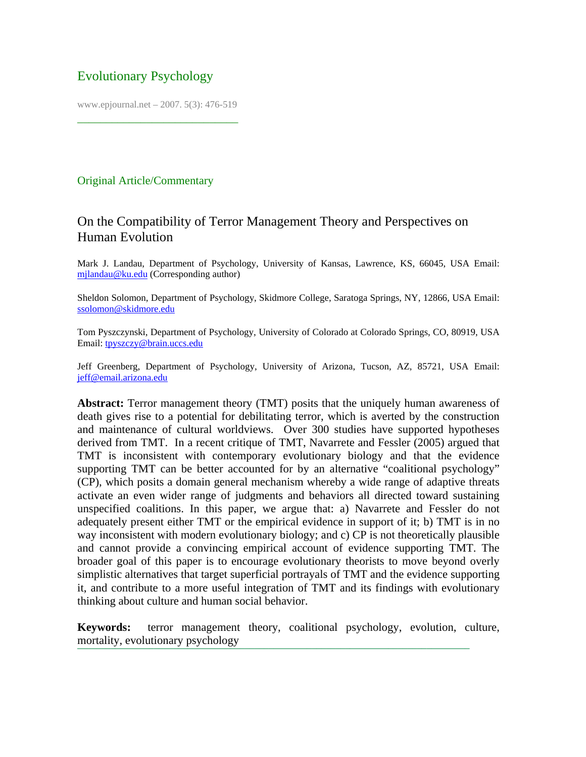# Evolutionary Psychology

www.epjournal.net – 2007. 5(3): 476-519 ¯¯¯¯¯¯¯¯¯¯¯¯¯¯¯¯¯¯¯¯¯¯¯¯¯¯¯¯

# Original Article/Commentary

# On the Compatibility of Terror Management Theory and Perspectives on Human Evolution

Mark J. Landau, Department of Psychology, University of Kansas, Lawrence, KS, 66045, USA Email: mjlandau@ku.edu (Corresponding author)

Sheldon Solomon, Department of Psychology, Skidmore College, Saratoga Springs, NY, 12866, USA Email: ssolomon@skidmore.edu

Tom Pyszczynski, Department of Psychology, University of Colorado at Colorado Springs, CO, 80919, USA Email: tpyszczy@brain.uccs.edu

Jeff Greenberg, Department of Psychology, University of Arizona, Tucson, AZ, 85721, USA Email: jeff@email.arizona.edu

**Abstract:** Terror management theory (TMT) posits that the uniquely human awareness of death gives rise to a potential for debilitating terror, which is averted by the construction and maintenance of cultural worldviews. Over 300 studies have supported hypotheses derived from TMT. In a recent critique of TMT, Navarrete and Fessler (2005) argued that TMT is inconsistent with contemporary evolutionary biology and that the evidence supporting TMT can be better accounted for by an alternative "coalitional psychology" (CP), which posits a domain general mechanism whereby a wide range of adaptive threats activate an even wider range of judgments and behaviors all directed toward sustaining unspecified coalitions. In this paper, we argue that: a) Navarrete and Fessler do not adequately present either TMT or the empirical evidence in support of it; b) TMT is in no way inconsistent with modern evolutionary biology; and c) CP is not theoretically plausible and cannot provide a convincing empirical account of evidence supporting TMT. The broader goal of this paper is to encourage evolutionary theorists to move beyond overly simplistic alternatives that target superficial portrayals of TMT and the evidence supporting it, and contribute to a more useful integration of TMT and its findings with evolutionary thinking about culture and human social behavior.

**Keywords:** terror management theory, coalitional psychology, evolution, culture, mortality, evolutionary psychology **¯¯¯¯¯¯¯¯¯¯¯¯¯¯¯¯¯¯¯¯¯¯¯¯¯¯¯¯¯¯¯¯¯¯¯¯¯¯¯¯¯¯¯¯¯¯¯¯¯¯¯¯¯¯¯¯¯¯¯¯¯¯¯¯¯¯¯¯¯¯¯¯¯¯¯¯¯¯¯¯¯¯**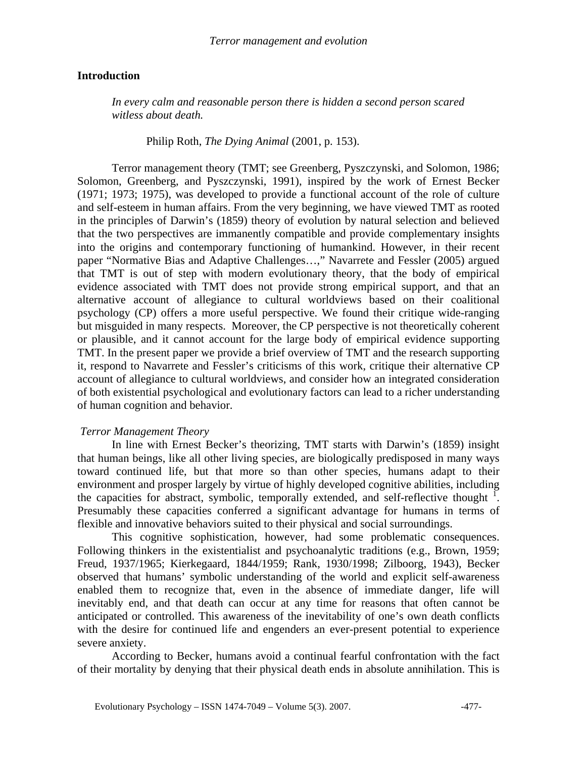### **Introduction**

*In every calm and reasonable person there is hidden a second person scared witless about death.* 

Philip Roth, *The Dying Animal* (2001, p. 153).

Terror management theory (TMT; see Greenberg, Pyszczynski, and Solomon, 1986; Solomon, Greenberg, and Pyszczynski, 1991), inspired by the work of Ernest Becker (1971; 1973; 1975), was developed to provide a functional account of the role of culture and self-esteem in human affairs. From the very beginning, we have viewed TMT as rooted in the principles of Darwin's (1859) theory of evolution by natural selection and believed that the two perspectives are immanently compatible and provide complementary insights into the origins and contemporary functioning of humankind. However, in their recent paper "Normative Bias and Adaptive Challenges…," Navarrete and Fessler (2005) argued that TMT is out of step with modern evolutionary theory, that the body of empirical evidence associated with TMT does not provide strong empirical support, and that an alternative account of allegiance to cultural worldviews based on their coalitional psychology (CP) offers a more useful perspective. We found their critique wide-ranging but misguided in many respects. Moreover, the CP perspective is not theoretically coherent or plausible, and it cannot account for the large body of empirical evidence supporting TMT. In the present paper we provide a brief overview of TMT and the research supporting it, respond to Navarrete and Fessler's criticisms of this work, critique their alternative CP account of allegiance to cultural worldviews, and consider how an integrated consideration of both existential psychological and evolutionary factors can lead to a richer understanding of human cognition and behavior.

#### *Terror Management Theory*

In line with Ernest Becker's theorizing, TMT starts with Darwin's (1859) insight that human beings, like all other living species, are biologically predisposed in many ways toward continued life, but that more so than other species, humans adapt to their environment and prosper largely by virtue of highly developed cognitive abilities, including the capacities for abstract, symbolic, temporally extended, and self-reflective thought<sup>1</sup>. Presumably these capacities conferred a significant advantage for humans in terms of flexible and innovative behaviors suited to their physical and social surroundings.

This cognitive sophistication, however, had some problematic consequences. Following thinkers in the existentialist and psychoanalytic traditions (e.g., Brown, 1959; Freud, 1937/1965; Kierkegaard, 1844/1959; Rank, 1930/1998; Zilboorg, 1943), Becker observed that humans' symbolic understanding of the world and explicit self-awareness enabled them to recognize that, even in the absence of immediate danger, life will inevitably end, and that death can occur at any time for reasons that often cannot be anticipated or controlled. This awareness of the inevitability of one's own death conflicts with the desire for continued life and engenders an ever-present potential to experience severe anxiety.

According to Becker, humans avoid a continual fearful confrontation with the fact of their mortality by denying that their physical death ends in absolute annihilation. This is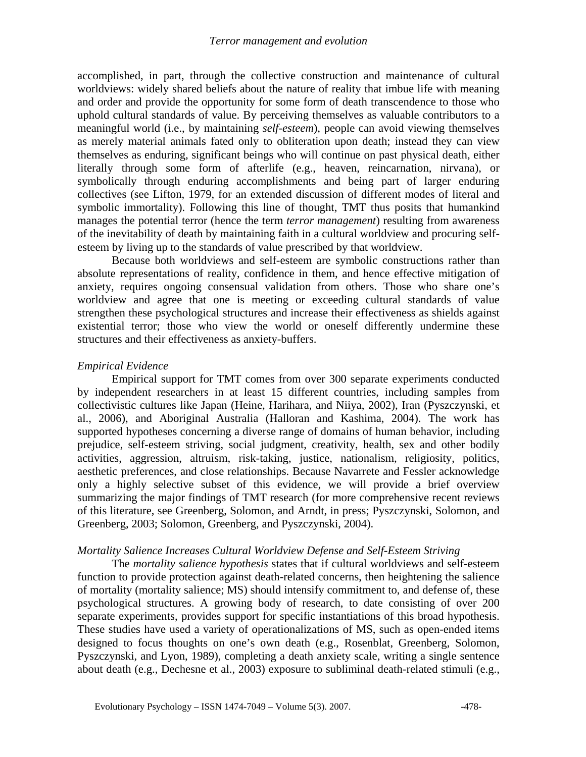accomplished, in part, through the collective construction and maintenance of cultural worldviews: widely shared beliefs about the nature of reality that imbue life with meaning and order and provide the opportunity for some form of death transcendence to those who uphold cultural standards of value. By perceiving themselves as valuable contributors to a meaningful world (i.e., by maintaining *self-esteem*), people can avoid viewing themselves as merely material animals fated only to obliteration upon death; instead they can view themselves as enduring, significant beings who will continue on past physical death, either literally through some form of afterlife (e.g., heaven, reincarnation, nirvana), or symbolically through enduring accomplishments and being part of larger enduring collectives (see Lifton, 1979, for an extended discussion of different modes of literal and symbolic immortality). Following this line of thought, TMT thus posits that humankind manages the potential terror (hence the term *terror management*) resulting from awareness of the inevitability of death by maintaining faith in a cultural worldview and procuring selfesteem by living up to the standards of value prescribed by that worldview.

Because both worldviews and self-esteem are symbolic constructions rather than absolute representations of reality, confidence in them, and hence effective mitigation of anxiety, requires ongoing consensual validation from others. Those who share one's worldview and agree that one is meeting or exceeding cultural standards of value strengthen these psychological structures and increase their effectiveness as shields against existential terror; those who view the world or oneself differently undermine these structures and their effectiveness as anxiety-buffers.

# *Empirical Evidence*

 Empirical support for TMT comes from over 300 separate experiments conducted by independent researchers in at least 15 different countries, including samples from collectivistic cultures like Japan (Heine, Harihara, and Niiya, 2002), Iran (Pyszczynski, et al., 2006), and Aboriginal Australia (Halloran and Kashima, 2004). The work has supported hypotheses concerning a diverse range of domains of human behavior, including prejudice, self-esteem striving, social judgment, creativity, health, sex and other bodily activities, aggression, altruism, risk-taking, justice, nationalism, religiosity, politics, aesthetic preferences, and close relationships. Because Navarrete and Fessler acknowledge only a highly selective subset of this evidence, we will provide a brief overview summarizing the major findings of TMT research (for more comprehensive recent reviews of this literature, see Greenberg, Solomon, and Arndt, in press; Pyszczynski, Solomon, and Greenberg, 2003; Solomon, Greenberg, and Pyszczynski, 2004).

# *Mortality Salience Increases Cultural Worldview Defense and Self-Esteem Striving*

The *mortality salience hypothesis* states that if cultural worldviews and self-esteem function to provide protection against death-related concerns, then heightening the salience of mortality (mortality salience; MS) should intensify commitment to, and defense of, these psychological structures. A growing body of research, to date consisting of over 200 separate experiments, provides support for specific instantiations of this broad hypothesis. These studies have used a variety of operationalizations of MS, such as open-ended items designed to focus thoughts on one's own death (e.g., Rosenblat, Greenberg, Solomon, Pyszczynski, and Lyon, 1989), completing a death anxiety scale, writing a single sentence about death (e.g., Dechesne et al., 2003) exposure to subliminal death-related stimuli (e.g.,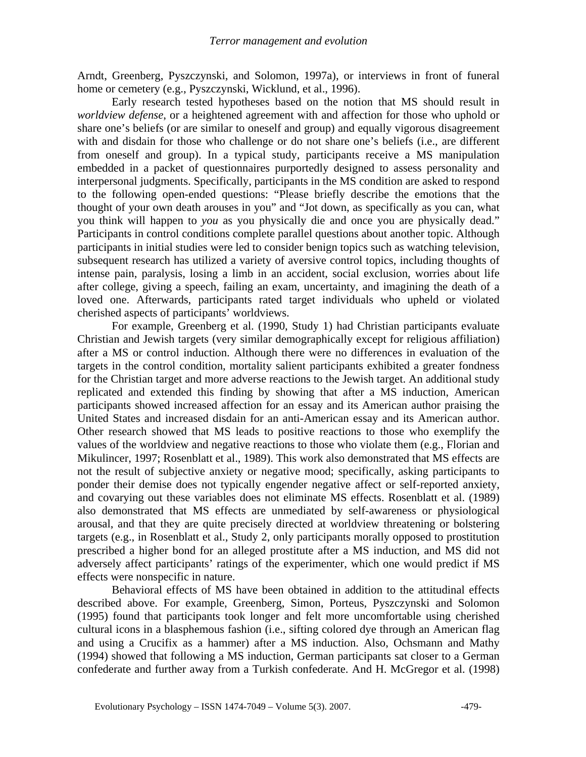Arndt, Greenberg, Pyszczynski, and Solomon, 1997a), or interviews in front of funeral home or cemetery (e.g., Pyszczynski, Wicklund, et al., 1996).

 Early research tested hypotheses based on the notion that MS should result in *worldview defense*, or a heightened agreement with and affection for those who uphold or share one's beliefs (or are similar to oneself and group) and equally vigorous disagreement with and disdain for those who challenge or do not share one's beliefs (i.e., are different from oneself and group). In a typical study, participants receive a MS manipulation embedded in a packet of questionnaires purportedly designed to assess personality and interpersonal judgments. Specifically, participants in the MS condition are asked to respond to the following open-ended questions: "Please briefly describe the emotions that the thought of your own death arouses in you" and "Jot down, as specifically as you can, what you think will happen to *you* as you physically die and once you are physically dead." Participants in control conditions complete parallel questions about another topic. Although participants in initial studies were led to consider benign topics such as watching television, subsequent research has utilized a variety of aversive control topics, including thoughts of intense pain, paralysis, losing a limb in an accident, social exclusion, worries about life after college, giving a speech, failing an exam, uncertainty, and imagining the death of a loved one. Afterwards, participants rated target individuals who upheld or violated cherished aspects of participants' worldviews.

 For example, Greenberg et al. (1990, Study 1) had Christian participants evaluate Christian and Jewish targets (very similar demographically except for religious affiliation) after a MS or control induction. Although there were no differences in evaluation of the targets in the control condition, mortality salient participants exhibited a greater fondness for the Christian target and more adverse reactions to the Jewish target. An additional study replicated and extended this finding by showing that after a MS induction, American participants showed increased affection for an essay and its American author praising the United States and increased disdain for an anti-American essay and its American author. Other research showed that MS leads to positive reactions to those who exemplify the values of the worldview and negative reactions to those who violate them (e.g., Florian and Mikulincer, 1997; Rosenblatt et al., 1989). This work also demonstrated that MS effects are not the result of subjective anxiety or negative mood; specifically, asking participants to ponder their demise does not typically engender negative affect or self-reported anxiety, and covarying out these variables does not eliminate MS effects. Rosenblatt et al. (1989) also demonstrated that MS effects are unmediated by self-awareness or physiological arousal, and that they are quite precisely directed at worldview threatening or bolstering targets (e.g., in Rosenblatt et al., Study 2, only participants morally opposed to prostitution prescribed a higher bond for an alleged prostitute after a MS induction, and MS did not adversely affect participants' ratings of the experimenter, which one would predict if MS effects were nonspecific in nature.

Behavioral effects of MS have been obtained in addition to the attitudinal effects described above. For example, Greenberg, Simon, Porteus, Pyszczynski and Solomon (1995) found that participants took longer and felt more uncomfortable using cherished cultural icons in a blasphemous fashion (i.e., sifting colored dye through an American flag and using a Crucifix as a hammer) after a MS induction. Also, Ochsmann and Mathy (1994) showed that following a MS induction, German participants sat closer to a German confederate and further away from a Turkish confederate. And H. McGregor et al. (1998)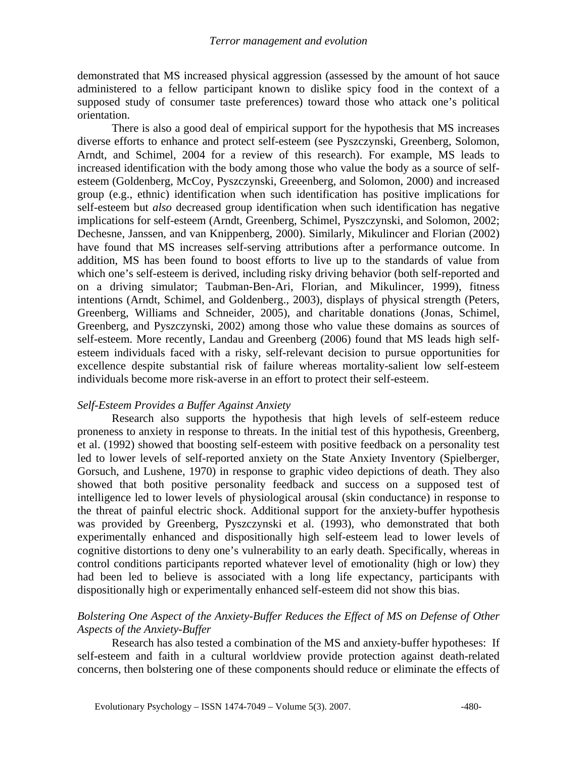demonstrated that MS increased physical aggression (assessed by the amount of hot sauce administered to a fellow participant known to dislike spicy food in the context of a supposed study of consumer taste preferences) toward those who attack one's political orientation.

There is also a good deal of empirical support for the hypothesis that MS increases diverse efforts to enhance and protect self-esteem (see Pyszczynski, Greenberg, Solomon, Arndt, and Schimel, 2004 for a review of this research). For example, MS leads to increased identification with the body among those who value the body as a source of selfesteem (Goldenberg, McCoy, Pyszczynski, Greeenberg, and Solomon, 2000) and increased group (e.g., ethnic) identification when such identification has positive implications for self-esteem but *also* decreased group identification when such identification has negative implications for self-esteem (Arndt, Greenberg, Schimel, Pyszczynski, and Solomon, 2002; Dechesne, Janssen, and van Knippenberg, 2000). Similarly, Mikulincer and Florian (2002) have found that MS increases self-serving attributions after a performance outcome. In addition, MS has been found to boost efforts to live up to the standards of value from which one's self-esteem is derived, including risky driving behavior (both self-reported and on a driving simulator; Taubman-Ben-Ari, Florian, and Mikulincer, 1999), fitness intentions (Arndt, Schimel, and Goldenberg., 2003), displays of physical strength (Peters, Greenberg, Williams and Schneider, 2005), and charitable donations (Jonas, Schimel, Greenberg, and Pyszczynski, 2002) among those who value these domains as sources of self-esteem. More recently, Landau and Greenberg (2006) found that MS leads high selfesteem individuals faced with a risky, self-relevant decision to pursue opportunities for excellence despite substantial risk of failure whereas mortality-salient low self-esteem individuals become more risk-averse in an effort to protect their self-esteem.

### *Self-Esteem Provides a Buffer Against Anxiety*

Research also supports the hypothesis that high levels of self-esteem reduce proneness to anxiety in response to threats. In the initial test of this hypothesis, Greenberg, et al. (1992) showed that boosting self-esteem with positive feedback on a personality test led to lower levels of self-reported anxiety on the State Anxiety Inventory (Spielberger, Gorsuch, and Lushene, 1970) in response to graphic video depictions of death. They also showed that both positive personality feedback and success on a supposed test of intelligence led to lower levels of physiological arousal (skin conductance) in response to the threat of painful electric shock. Additional support for the anxiety-buffer hypothesis was provided by Greenberg, Pyszczynski et al. (1993), who demonstrated that both experimentally enhanced and dispositionally high self-esteem lead to lower levels of cognitive distortions to deny one's vulnerability to an early death. Specifically, whereas in control conditions participants reported whatever level of emotionality (high or low) they had been led to believe is associated with a long life expectancy, participants with dispositionally high or experimentally enhanced self-esteem did not show this bias.

# *Bolstering One Aspect of the Anxiety-Buffer Reduces the Effect of MS on Defense of Other Aspects of the Anxiety-Buffer*

Research has also tested a combination of the MS and anxiety-buffer hypotheses: If self-esteem and faith in a cultural worldview provide protection against death-related concerns, then bolstering one of these components should reduce or eliminate the effects of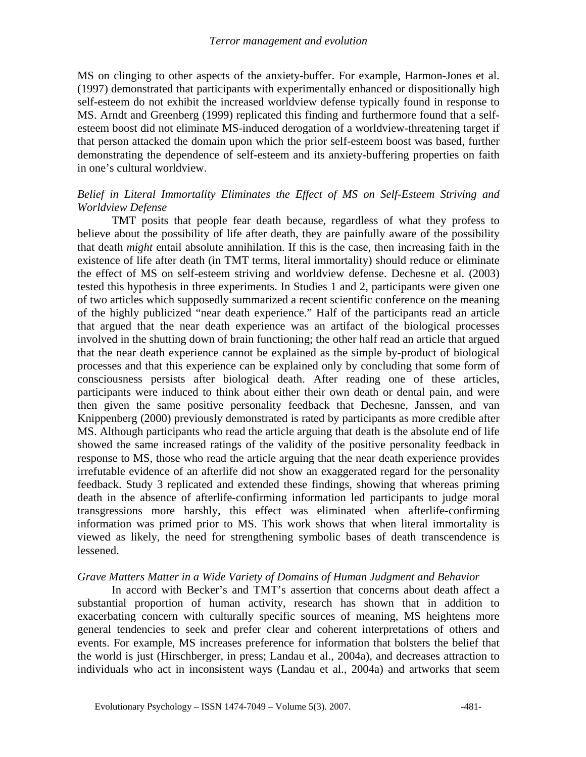MS on clinging to other aspects of the anxiety-buffer. For example, Harmon-Jones et al. (1997) demonstrated that participants with experimentally enhanced or dispositionally high self-esteem do not exhibit the increased worldview defense typically found in response to MS. Arndt and Greenberg (1999) replicated this finding and furthermore found that a selfesteem boost did not eliminate MS-induced derogation of a worldview-threatening target if that person attacked the domain upon which the prior self-esteem boost was based, further demonstrating the dependence of self-esteem and its anxiety-buffering properties on faith in one's cultural worldview.

# *Belief in Literal Immortality Eliminates the Effect of MS on Self-Esteem Striving and Worldview Defense*

TMT posits that people fear death because, regardless of what they profess to believe about the possibility of life after death, they are painfully aware of the possibility that death *might* entail absolute annihilation. If this is the case, then increasing faith in the existence of life after death (in TMT terms, literal immortality) should reduce or eliminate the effect of MS on self-esteem striving and worldview defense. Dechesne et al. (2003) tested this hypothesis in three experiments. In Studies 1 and 2, participants were given one of two articles which supposedly summarized a recent scientific conference on the meaning of the highly publicized "near death experience." Half of the participants read an article that argued that the near death experience was an artifact of the biological processes involved in the shutting down of brain functioning; the other half read an article that argued that the near death experience cannot be explained as the simple by-product of biological processes and that this experience can be explained only by concluding that some form of consciousness persists after biological death. After reading one of these articles, participants were induced to think about either their own death or dental pain, and were then given the same positive personality feedback that Dechesne, Janssen, and van Knippenberg (2000) previously demonstrated is rated by participants as more credible after MS. Although participants who read the article arguing that death is the absolute end of life showed the same increased ratings of the validity of the positive personality feedback in response to MS, those who read the article arguing that the near death experience provides irrefutable evidence of an afterlife did not show an exaggerated regard for the personality feedback. Study 3 replicated and extended these findings, showing that whereas priming death in the absence of afterlife-confirming information led participants to judge moral transgressions more harshly, this effect was eliminated when afterlife-confirming information was primed prior to MS. This work shows that when literal immortality is viewed as likely, the need for strengthening symbolic bases of death transcendence is lessened.

# *Grave Matters Matter in a Wide Variety of Domains of Human Judgment and Behavior*

In accord with Becker's and TMT's assertion that concerns about death affect a substantial proportion of human activity, research has shown that in addition to exacerbating concern with culturally specific sources of meaning, MS heightens more general tendencies to seek and prefer clear and coherent interpretations of others and events. For example, MS increases preference for information that bolsters the belief that the world is just (Hirschberger, in press; Landau et al., 2004a), and decreases attraction to individuals who act in inconsistent ways (Landau et al., 2004a) and artworks that seem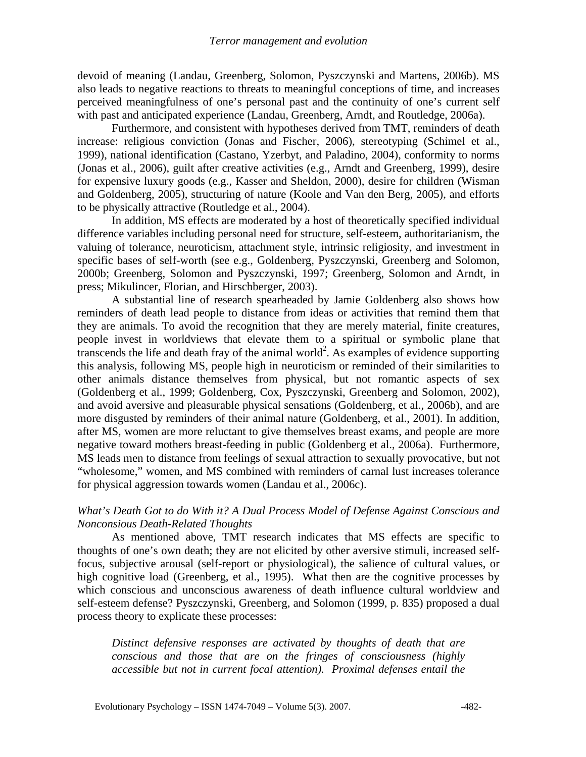devoid of meaning (Landau, Greenberg, Solomon, Pyszczynski and Martens, 2006b). MS also leads to negative reactions to threats to meaningful conceptions of time, and increases perceived meaningfulness of one's personal past and the continuity of one's current self with past and anticipated experience (Landau, Greenberg, Arndt, and Routledge, 2006a).

Furthermore, and consistent with hypotheses derived from TMT, reminders of death increase: religious conviction (Jonas and Fischer, 2006), stereotyping (Schimel et al., 1999), national identification (Castano, Yzerbyt, and Paladino, 2004), conformity to norms (Jonas et al., 2006), guilt after creative activities (e.g., Arndt and Greenberg, 1999), desire for expensive luxury goods (e.g., Kasser and Sheldon, 2000), desire for children (Wisman and Goldenberg, 2005), structuring of nature (Koole and Van den Berg, 2005), and efforts to be physically attractive (Routledge et al., 2004).

In addition, MS effects are moderated by a host of theoretically specified individual difference variables including personal need for structure, self-esteem, authoritarianism, the valuing of tolerance, neuroticism, attachment style, intrinsic religiosity, and investment in specific bases of self-worth (see e.g., Goldenberg, Pyszczynski, Greenberg and Solomon, 2000b; Greenberg, Solomon and Pyszczynski, 1997; Greenberg, Solomon and Arndt, in press; Mikulincer, Florian, and Hirschberger, 2003).

A substantial line of research spearheaded by Jamie Goldenberg also shows how reminders of death lead people to distance from ideas or activities that remind them that they are animals. To avoid the recognition that they are merely material, finite creatures, people invest in worldviews that elevate them to a spiritual or symbolic plane that transcends the life and death fray of the animal world<sup>2</sup>. As examples of evidence supporting this analysis, following MS, people high in neuroticism or reminded of their similarities to other animals distance themselves from physical, but not romantic aspects of sex (Goldenberg et al., 1999; Goldenberg, Cox, Pyszczynski, Greenberg and Solomon, 2002), and avoid aversive and pleasurable physical sensations (Goldenberg, et al., 2006b), and are more disgusted by reminders of their animal nature (Goldenberg, et al., 2001). In addition, after MS, women are more reluctant to give themselves breast exams, and people are more negative toward mothers breast-feeding in public (Goldenberg et al., 2006a). Furthermore, MS leads men to distance from feelings of sexual attraction to sexually provocative, but not "wholesome," women, and MS combined with reminders of carnal lust increases tolerance for physical aggression towards women (Landau et al., 2006c).

# *What's Death Got to do With it? A Dual Process Model of Defense Against Conscious and Nonconsious Death-Related Thoughts*

As mentioned above, TMT research indicates that MS effects are specific to thoughts of one's own death; they are not elicited by other aversive stimuli, increased selffocus, subjective arousal (self-report or physiological), the salience of cultural values, or high cognitive load (Greenberg, et al., 1995). What then are the cognitive processes by which conscious and unconscious awareness of death influence cultural worldview and self-esteem defense? Pyszczynski, Greenberg, and Solomon (1999, p. 835) proposed a dual process theory to explicate these processes:

*Distinct defensive responses are activated by thoughts of death that are conscious and those that are on the fringes of consciousness (highly accessible but not in current focal attention). Proximal defenses entail the*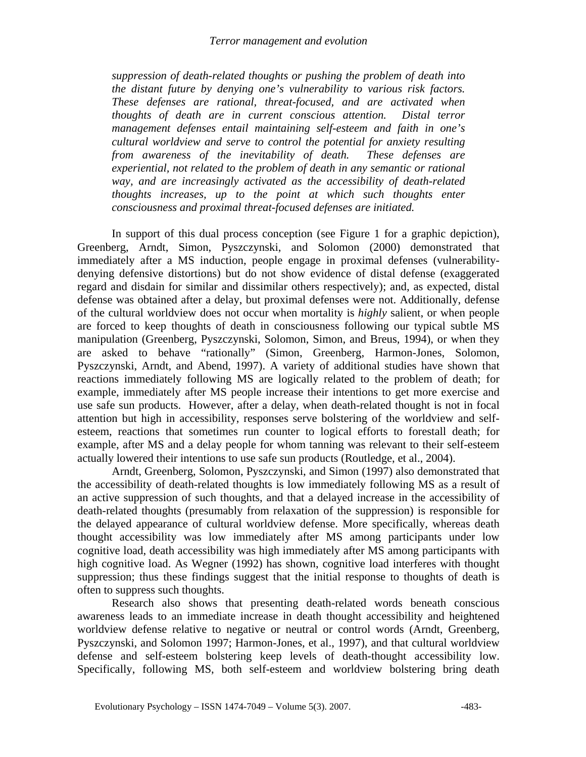#### *Terror management and evolution*

*suppression of death-related thoughts or pushing the problem of death into the distant future by denying one's vulnerability to various risk factors. These defenses are rational, threat-focused, and are activated when thoughts of death are in current conscious attention. Distal terror management defenses entail maintaining self-esteem and faith in one's cultural worldview and serve to control the potential for anxiety resulting from awareness of the inevitability of death. These defenses are experiential, not related to the problem of death in any semantic or rational way, and are increasingly activated as the accessibility of death-related thoughts increases, up to the point at which such thoughts enter consciousness and proximal threat-focused defenses are initiated.* 

 In support of this dual process conception (see Figure 1 for a graphic depiction), Greenberg, Arndt, Simon, Pyszczynski, and Solomon (2000) demonstrated that immediately after a MS induction, people engage in proximal defenses (vulnerabilitydenying defensive distortions) but do not show evidence of distal defense (exaggerated regard and disdain for similar and dissimilar others respectively); and, as expected, distal defense was obtained after a delay, but proximal defenses were not. Additionally, defense of the cultural worldview does not occur when mortality is *highly* salient, or when people are forced to keep thoughts of death in consciousness following our typical subtle MS manipulation (Greenberg, Pyszczynski, Solomon, Simon, and Breus, 1994), or when they are asked to behave "rationally" (Simon, Greenberg, Harmon-Jones, Solomon, Pyszczynski, Arndt, and Abend, 1997). A variety of additional studies have shown that reactions immediately following MS are logically related to the problem of death; for example, immediately after MS people increase their intentions to get more exercise and use safe sun products. However, after a delay, when death-related thought is not in focal attention but high in accessibility, responses serve bolstering of the worldview and selfesteem, reactions that sometimes run counter to logical efforts to forestall death; for example, after MS and a delay people for whom tanning was relevant to their self-esteem actually lowered their intentions to use safe sun products (Routledge, et al., 2004).

 Arndt, Greenberg, Solomon, Pyszczynski, and Simon (1997) also demonstrated that the accessibility of death-related thoughts is low immediately following MS as a result of an active suppression of such thoughts, and that a delayed increase in the accessibility of death-related thoughts (presumably from relaxation of the suppression) is responsible for the delayed appearance of cultural worldview defense. More specifically, whereas death thought accessibility was low immediately after MS among participants under low cognitive load, death accessibility was high immediately after MS among participants with high cognitive load. As Wegner (1992) has shown, cognitive load interferes with thought suppression; thus these findings suggest that the initial response to thoughts of death is often to suppress such thoughts.

 Research also shows that presenting death-related words beneath conscious awareness leads to an immediate increase in death thought accessibility and heightened worldview defense relative to negative or neutral or control words (Arndt, Greenberg, Pyszczynski, and Solomon 1997; Harmon-Jones, et al., 1997), and that cultural worldview defense and self-esteem bolstering keep levels of death-thought accessibility low. Specifically, following MS, both self-esteem and worldview bolstering bring death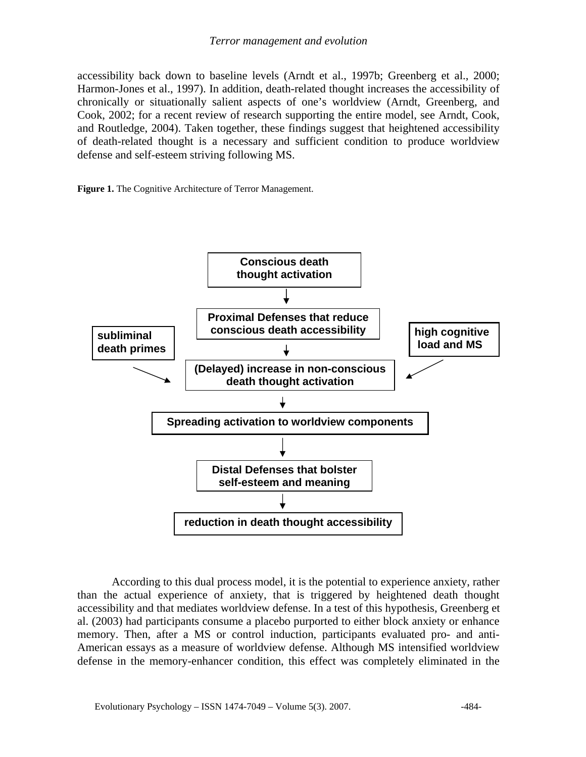accessibility back down to baseline levels (Arndt et al., 1997b; Greenberg et al., 2000; Harmon-Jones et al., 1997). In addition, death-related thought increases the accessibility of chronically or situationally salient aspects of one's worldview (Arndt, Greenberg, and Cook, 2002; for a recent review of research supporting the entire model, see Arndt, Cook, and Routledge, 2004). Taken together, these findings suggest that heightened accessibility of death-related thought is a necessary and sufficient condition to produce worldview defense and self-esteem striving following MS.

**Figure 1.** The Cognitive Architecture of Terror Management.



 According to this dual process model, it is the potential to experience anxiety, rather than the actual experience of anxiety, that is triggered by heightened death thought accessibility and that mediates worldview defense. In a test of this hypothesis, Greenberg et al. (2003) had participants consume a placebo purported to either block anxiety or enhance memory. Then, after a MS or control induction, participants evaluated pro- and anti-American essays as a measure of worldview defense. Although MS intensified worldview defense in the memory-enhancer condition, this effect was completely eliminated in the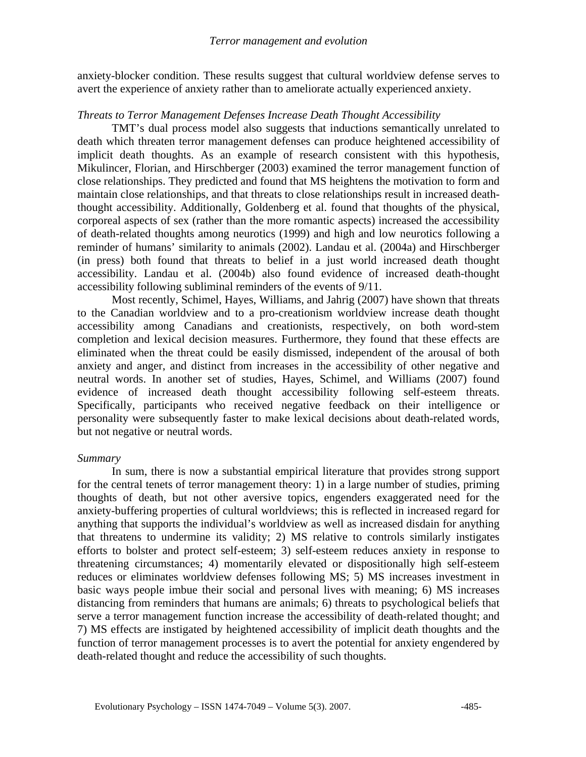anxiety-blocker condition. These results suggest that cultural worldview defense serves to avert the experience of anxiety rather than to ameliorate actually experienced anxiety.

# *Threats to Terror Management Defenses Increase Death Thought Accessibility*

TMT's dual process model also suggests that inductions semantically unrelated to death which threaten terror management defenses can produce heightened accessibility of implicit death thoughts. As an example of research consistent with this hypothesis, Mikulincer, Florian, and Hirschberger (2003) examined the terror management function of close relationships. They predicted and found that MS heightens the motivation to form and maintain close relationships, and that threats to close relationships result in increased deaththought accessibility. Additionally, Goldenberg et al. found that thoughts of the physical, corporeal aspects of sex (rather than the more romantic aspects) increased the accessibility of death-related thoughts among neurotics (1999) and high and low neurotics following a reminder of humans' similarity to animals (2002). Landau et al. (2004a) and Hirschberger (in press) both found that threats to belief in a just world increased death thought accessibility. Landau et al. (2004b) also found evidence of increased death-thought accessibility following subliminal reminders of the events of 9/11.

 Most recently, Schimel, Hayes, Williams, and Jahrig (2007) have shown that threats to the Canadian worldview and to a pro-creationism worldview increase death thought accessibility among Canadians and creationists, respectively, on both word-stem completion and lexical decision measures. Furthermore, they found that these effects are eliminated when the threat could be easily dismissed, independent of the arousal of both anxiety and anger, and distinct from increases in the accessibility of other negative and neutral words. In another set of studies, Hayes, Schimel, and Williams (2007) found evidence of increased death thought accessibility following self-esteem threats. Specifically, participants who received negative feedback on their intelligence or personality were subsequently faster to make lexical decisions about death-related words, but not negative or neutral words.

### *Summary*

 In sum, there is now a substantial empirical literature that provides strong support for the central tenets of terror management theory: 1) in a large number of studies, priming thoughts of death, but not other aversive topics, engenders exaggerated need for the anxiety-buffering properties of cultural worldviews; this is reflected in increased regard for anything that supports the individual's worldview as well as increased disdain for anything that threatens to undermine its validity; 2) MS relative to controls similarly instigates efforts to bolster and protect self-esteem; 3) self-esteem reduces anxiety in response to threatening circumstances; 4) momentarily elevated or dispositionally high self-esteem reduces or eliminates worldview defenses following MS; 5) MS increases investment in basic ways people imbue their social and personal lives with meaning; 6) MS increases distancing from reminders that humans are animals; 6) threats to psychological beliefs that serve a terror management function increase the accessibility of death-related thought; and 7) MS effects are instigated by heightened accessibility of implicit death thoughts and the function of terror management processes is to avert the potential for anxiety engendered by death-related thought and reduce the accessibility of such thoughts.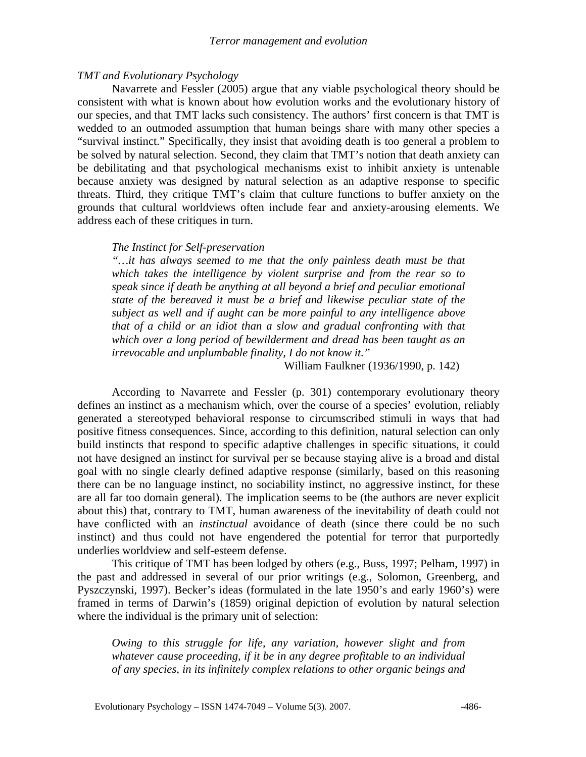#### *TMT and Evolutionary Psychology*

Navarrete and Fessler (2005) argue that any viable psychological theory should be consistent with what is known about how evolution works and the evolutionary history of our species, and that TMT lacks such consistency. The authors' first concern is that TMT is wedded to an outmoded assumption that human beings share with many other species a "survival instinct." Specifically, they insist that avoiding death is too general a problem to be solved by natural selection. Second, they claim that TMT's notion that death anxiety can be debilitating and that psychological mechanisms exist to inhibit anxiety is untenable because anxiety was designed by natural selection as an adaptive response to specific threats. Third, they critique TMT's claim that culture functions to buffer anxiety on the grounds that cultural worldviews often include fear and anxiety-arousing elements. We address each of these critiques in turn.

#### *The Instinct for Self-preservation*

*"…it has always seemed to me that the only painless death must be that which takes the intelligence by violent surprise and from the rear so to speak since if death be anything at all beyond a brief and peculiar emotional state of the bereaved it must be a brief and likewise peculiar state of the subject as well and if aught can be more painful to any intelligence above that of a child or an idiot than a slow and gradual confronting with that which over a long period of bewilderment and dread has been taught as an irrevocable and unplumbable finality, I do not know it."*

William Faulkner (1936/1990, p. 142)

According to Navarrete and Fessler (p. 301) contemporary evolutionary theory defines an instinct as a mechanism which, over the course of a species' evolution, reliably generated a stereotyped behavioral response to circumscribed stimuli in ways that had positive fitness consequences. Since, according to this definition, natural selection can only build instincts that respond to specific adaptive challenges in specific situations, it could not have designed an instinct for survival per se because staying alive is a broad and distal goal with no single clearly defined adaptive response (similarly, based on this reasoning there can be no language instinct, no sociability instinct, no aggressive instinct, for these are all far too domain general). The implication seems to be (the authors are never explicit about this) that, contrary to TMT, human awareness of the inevitability of death could not have conflicted with an *instinctual* avoidance of death (since there could be no such instinct) and thus could not have engendered the potential for terror that purportedly underlies worldview and self-esteem defense.

This critique of TMT has been lodged by others (e.g., Buss, 1997; Pelham, 1997) in the past and addressed in several of our prior writings (e.g., Solomon, Greenberg, and Pyszczynski*,* 1997). Becker's ideas (formulated in the late 1950's and early 1960's) were framed in terms of Darwin's (1859) original depiction of evolution by natural selection where the individual is the primary unit of selection:

*Owing to this struggle for life, any variation, however slight and from whatever cause proceeding, if it be in any degree profitable to an individual of any species, in its infinitely complex relations to other organic beings and*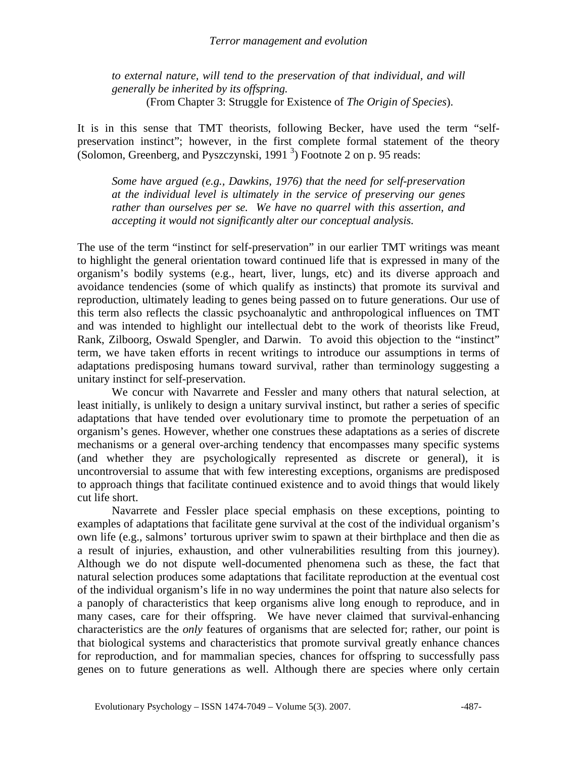#### *Terror management and evolution*

*to external nature, will tend to the preservation of that individual, and will generally be inherited by its offspring.* 

(From Chapter 3: Struggle for Existence of *The Origin of Species*).

It is in this sense that TMT theorists, following Becker, have used the term "selfpreservation instinct"; however, in the first complete formal statement of the theory (Solomon, Greenberg, and Pyszczynski, 1991 <sup>3</sup> ) Footnote 2 on p. 95 reads:

*Some have argued (e.g., Dawkins, 1976) that the need for self-preservation at the individual level is ultimately in the service of preserving our genes rather than ourselves per se. We have no quarrel with this assertion, and accepting it would not significantly alter our conceptual analysis.* 

The use of the term "instinct for self-preservation" in our earlier TMT writings was meant to highlight the general orientation toward continued life that is expressed in many of the organism's bodily systems (e.g., heart, liver, lungs, etc) and its diverse approach and avoidance tendencies (some of which qualify as instincts) that promote its survival and reproduction, ultimately leading to genes being passed on to future generations. Our use of this term also reflects the classic psychoanalytic and anthropological influences on TMT and was intended to highlight our intellectual debt to the work of theorists like Freud, Rank, Zilboorg, Oswald Spengler, and Darwin. To avoid this objection to the "instinct" term, we have taken efforts in recent writings to introduce our assumptions in terms of adaptations predisposing humans toward survival, rather than terminology suggesting a unitary instinct for self-preservation.

We concur with Navarrete and Fessler and many others that natural selection, at least initially, is unlikely to design a unitary survival instinct, but rather a series of specific adaptations that have tended over evolutionary time to promote the perpetuation of an organism's genes. However, whether one construes these adaptations as a series of discrete mechanisms or a general over-arching tendency that encompasses many specific systems (and whether they are psychologically represented as discrete or general), it is uncontroversial to assume that with few interesting exceptions, organisms are predisposed to approach things that facilitate continued existence and to avoid things that would likely cut life short.

Navarrete and Fessler place special emphasis on these exceptions, pointing to examples of adaptations that facilitate gene survival at the cost of the individual organism's own life (e.g., salmons' torturous upriver swim to spawn at their birthplace and then die as a result of injuries, exhaustion, and other vulnerabilities resulting from this journey). Although we do not dispute well-documented phenomena such as these, the fact that natural selection produces some adaptations that facilitate reproduction at the eventual cost of the individual organism's life in no way undermines the point that nature also selects for a panoply of characteristics that keep organisms alive long enough to reproduce, and in many cases, care for their offspring. We have never claimed that survival-enhancing characteristics are the *only* features of organisms that are selected for; rather, our point is that biological systems and characteristics that promote survival greatly enhance chances for reproduction, and for mammalian species, chances for offspring to successfully pass genes on to future generations as well. Although there are species where only certain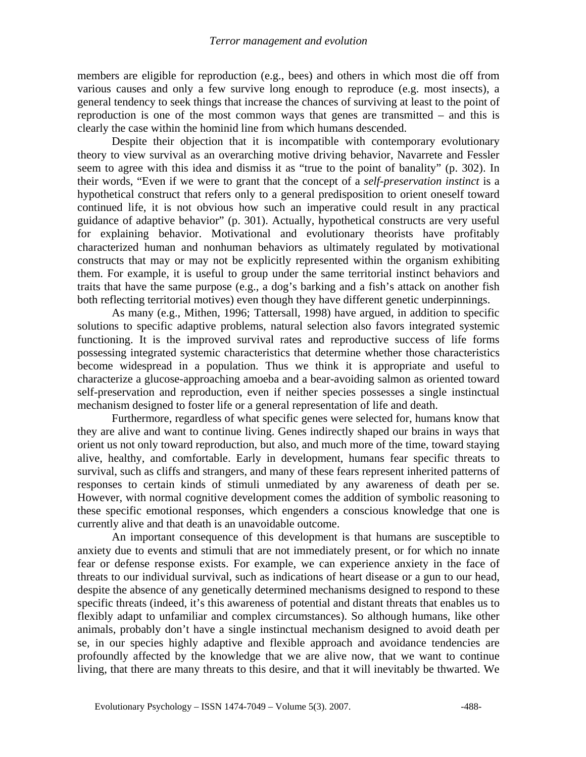members are eligible for reproduction (e.g., bees) and others in which most die off from various causes and only a few survive long enough to reproduce (e.g. most insects), a general tendency to seek things that increase the chances of surviving at least to the point of reproduction is one of the most common ways that genes are transmitted – and this is clearly the case within the hominid line from which humans descended.

Despite their objection that it is incompatible with contemporary evolutionary theory to view survival as an overarching motive driving behavior, Navarrete and Fessler seem to agree with this idea and dismiss it as "true to the point of banality" (p. 302). In their words, "Even if we were to grant that the concept of a *self-preservation instinct* is a hypothetical construct that refers only to a general predisposition to orient oneself toward continued life, it is not obvious how such an imperative could result in any practical guidance of adaptive behavior" (p. 301). Actually, hypothetical constructs are very useful for explaining behavior. Motivational and evolutionary theorists have profitably characterized human and nonhuman behaviors as ultimately regulated by motivational constructs that may or may not be explicitly represented within the organism exhibiting them. For example, it is useful to group under the same territorial instinct behaviors and traits that have the same purpose (e.g., a dog's barking and a fish's attack on another fish both reflecting territorial motives) even though they have different genetic underpinnings.

As many (e.g., Mithen, 1996; Tattersall, 1998) have argued, in addition to specific solutions to specific adaptive problems, natural selection also favors integrated systemic functioning. It is the improved survival rates and reproductive success of life forms possessing integrated systemic characteristics that determine whether those characteristics become widespread in a population. Thus we think it is appropriate and useful to characterize a glucose-approaching amoeba and a bear-avoiding salmon as oriented toward self-preservation and reproduction, even if neither species possesses a single instinctual mechanism designed to foster life or a general representation of life and death.

Furthermore, regardless of what specific genes were selected for, humans know that they are alive and want to continue living. Genes indirectly shaped our brains in ways that orient us not only toward reproduction, but also, and much more of the time, toward staying alive, healthy, and comfortable. Early in development, humans fear specific threats to survival, such as cliffs and strangers, and many of these fears represent inherited patterns of responses to certain kinds of stimuli unmediated by any awareness of death per se. However, with normal cognitive development comes the addition of symbolic reasoning to these specific emotional responses, which engenders a conscious knowledge that one is currently alive and that death is an unavoidable outcome.

An important consequence of this development is that humans are susceptible to anxiety due to events and stimuli that are not immediately present, or for which no innate fear or defense response exists. For example, we can experience anxiety in the face of threats to our individual survival, such as indications of heart disease or a gun to our head, despite the absence of any genetically determined mechanisms designed to respond to these specific threats (indeed, it's this awareness of potential and distant threats that enables us to flexibly adapt to unfamiliar and complex circumstances). So although humans, like other animals, probably don't have a single instinctual mechanism designed to avoid death per se, in our species highly adaptive and flexible approach and avoidance tendencies are profoundly affected by the knowledge that we are alive now, that we want to continue living, that there are many threats to this desire, and that it will inevitably be thwarted. We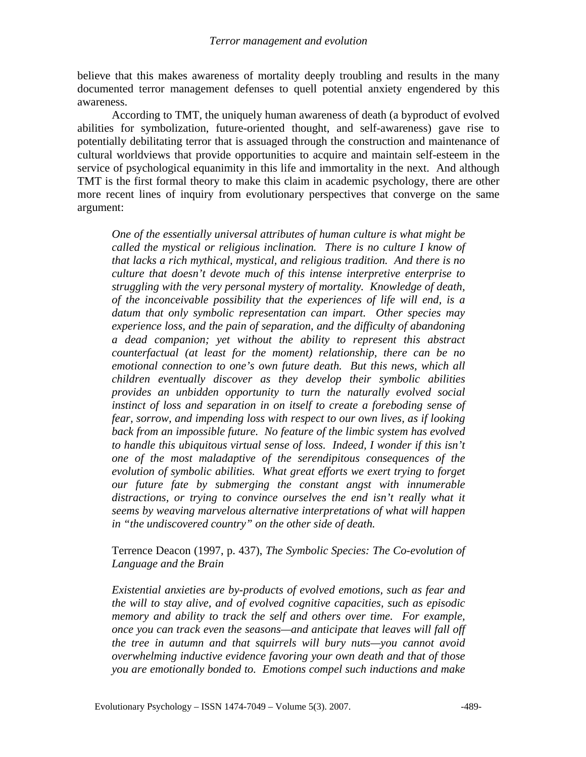believe that this makes awareness of mortality deeply troubling and results in the many documented terror management defenses to quell potential anxiety engendered by this awareness.

According to TMT, the uniquely human awareness of death (a byproduct of evolved abilities for symbolization, future-oriented thought, and self-awareness) gave rise to potentially debilitating terror that is assuaged through the construction and maintenance of cultural worldviews that provide opportunities to acquire and maintain self-esteem in the service of psychological equanimity in this life and immortality in the next. And although TMT is the first formal theory to make this claim in academic psychology, there are other more recent lines of inquiry from evolutionary perspectives that converge on the same argument:

*One of the essentially universal attributes of human culture is what might be called the mystical or religious inclination. There is no culture I know of that lacks a rich mythical, mystical, and religious tradition. And there is no culture that doesn't devote much of this intense interpretive enterprise to struggling with the very personal mystery of mortality. Knowledge of death, of the inconceivable possibility that the experiences of life will end, is a datum that only symbolic representation can impart. Other species may experience loss, and the pain of separation, and the difficulty of abandoning a dead companion; yet without the ability to represent this abstract counterfactual (at least for the moment) relationship, there can be no emotional connection to one's own future death. But this news, which all children eventually discover as they develop their symbolic abilities provides an unbidden opportunity to turn the naturally evolved social instinct of loss and separation in on itself to create a foreboding sense of fear, sorrow, and impending loss with respect to our own lives, as if looking back from an impossible future. No feature of the limbic system has evolved to handle this ubiquitous virtual sense of loss. Indeed, I wonder if this isn't one of the most maladaptive of the serendipitous consequences of the evolution of symbolic abilities. What great efforts we exert trying to forget our future fate by submerging the constant angst with innumerable*  distractions, or trying to convince ourselves the end isn't really what it *seems by weaving marvelous alternative interpretations of what will happen in "the undiscovered country" on the other side of death.* 

Terrence Deacon (1997, p. 437), *The Symbolic Species: The Co-evolution of Language and the Brain* 

*Existential anxieties are by-products of evolved emotions, such as fear and the will to stay alive, and of evolved cognitive capacities, such as episodic memory and ability to track the self and others over time. For example, once you can track even the seasons—and anticipate that leaves will fall off the tree in autumn and that squirrels will bury nuts—you cannot avoid overwhelming inductive evidence favoring your own death and that of those you are emotionally bonded to. Emotions compel such inductions and make*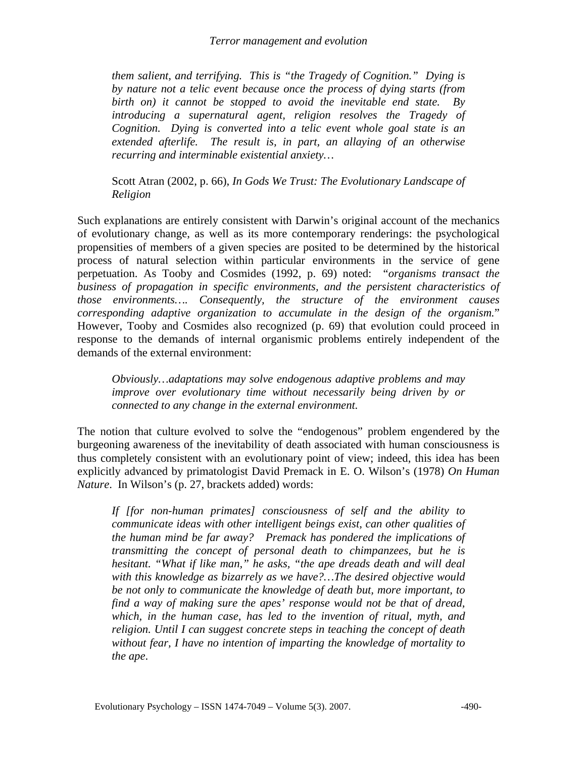*them salient, and terrifying. This is "the Tragedy of Cognition." Dying is by nature not a telic event because once the process of dying starts (from birth on) it cannot be stopped to avoid the inevitable end state. By introducing a supernatural agent, religion resolves the Tragedy of Cognition. Dying is converted into a telic event whole goal state is an extended afterlife. The result is, in part, an allaying of an otherwise recurring and interminable existential anxiety…* 

Scott Atran (2002, p. 66), *In Gods We Trust: The Evolutionary Landscape of Religion* 

 Such explanations are entirely consistent with Darwin's original account of the mechanics of evolutionary change, as well as its more contemporary renderings: the psychological propensities of members of a given species are posited to be determined by the historical process of natural selection within particular environments in the service of gene perpetuation. As Tooby and Cosmides (1992, p. 69) noted: "*organisms transact the business of propagation in specific environments, and the persistent characteristics of those environments…. Consequently, the structure of the environment causes corresponding adaptive organization to accumulate in the design of the organism.*" However, Tooby and Cosmides also recognized (p. 69) that evolution could proceed in response to the demands of internal organismic problems entirely independent of the demands of the external environment:

*Obviously…adaptations may solve endogenous adaptive problems and may improve over evolutionary time without necessarily being driven by or connected to any change in the external environment.* 

The notion that culture evolved to solve the "endogenous" problem engendered by the burgeoning awareness of the inevitability of death associated with human consciousness is thus completely consistent with an evolutionary point of view; indeed, this idea has been explicitly advanced by primatologist David Premack in E. O. Wilson's (1978) *On Human Nature*. In Wilson's (p. 27, brackets added) words:

*If [for non-human primates] consciousness of self and the ability to communicate ideas with other intelligent beings exist, can other qualities of the human mind be far away? Premack has pondered the implications of transmitting the concept of personal death to chimpanzees, but he is hesitant. "What if like man," he asks, "the ape dreads death and will deal with this knowledge as bizarrely as we have?…The desired objective would be not only to communicate the knowledge of death but, more important, to find a way of making sure the apes' response would not be that of dread, which, in the human case, has led to the invention of ritual, myth, and religion. Until I can suggest concrete steps in teaching the concept of death without fear, I have no intention of imparting the knowledge of mortality to the ape*.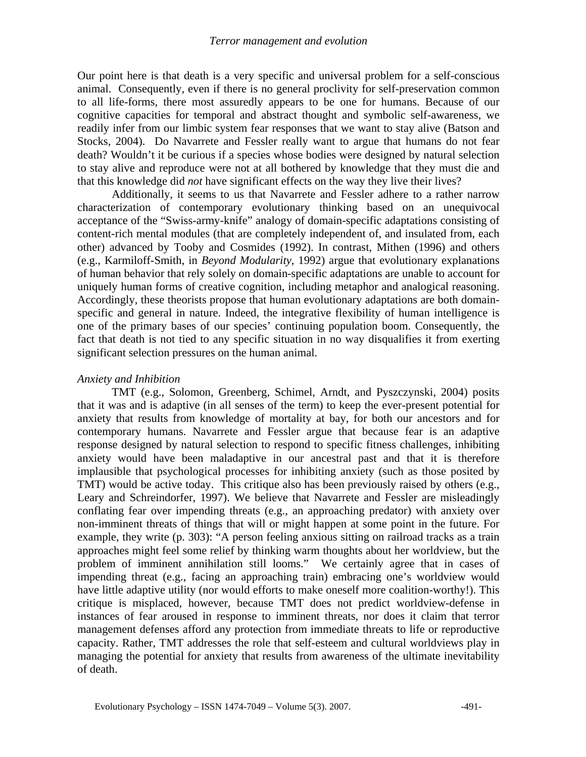Our point here is that death is a very specific and universal problem for a self-conscious animal. Consequently, even if there is no general proclivity for self-preservation common to all life-forms, there most assuredly appears to be one for humans. Because of our cognitive capacities for temporal and abstract thought and symbolic self-awareness, we readily infer from our limbic system fear responses that we want to stay alive (Batson and Stocks, 2004). Do Navarrete and Fessler really want to argue that humans do not fear death? Wouldn't it be curious if a species whose bodies were designed by natural selection to stay alive and reproduce were not at all bothered by knowledge that they must die and that this knowledge did *not* have significant effects on the way they live their lives?

Additionally, it seems to us that Navarrete and Fessler adhere to a rather narrow characterization of contemporary evolutionary thinking based on an unequivocal acceptance of the "Swiss-army-knife" analogy of domain-specific adaptations consisting of content-rich mental modules (that are completely independent of, and insulated from, each other) advanced by Tooby and Cosmides (1992). In contrast, Mithen (1996) and others (e.g., Karmiloff-Smith, in *Beyond Modularity*, 1992) argue that evolutionary explanations of human behavior that rely solely on domain-specific adaptations are unable to account for uniquely human forms of creative cognition, including metaphor and analogical reasoning. Accordingly, these theorists propose that human evolutionary adaptations are both domainspecific and general in nature. Indeed, the integrative flexibility of human intelligence is one of the primary bases of our species' continuing population boom. Consequently, the fact that death is not tied to any specific situation in no way disqualifies it from exerting significant selection pressures on the human animal.

### *Anxiety and Inhibition*

TMT (e.g., Solomon, Greenberg, Schimel, Arndt, and Pyszczynski, 2004) posits that it was and is adaptive (in all senses of the term) to keep the ever-present potential for anxiety that results from knowledge of mortality at bay, for both our ancestors and for contemporary humans. Navarrete and Fessler argue that because fear is an adaptive response designed by natural selection to respond to specific fitness challenges, inhibiting anxiety would have been maladaptive in our ancestral past and that it is therefore implausible that psychological processes for inhibiting anxiety (such as those posited by TMT) would be active today. This critique also has been previously raised by others (e.g., Leary and Schreindorfer, 1997). We believe that Navarrete and Fessler are misleadingly conflating fear over impending threats (e.g., an approaching predator) with anxiety over non-imminent threats of things that will or might happen at some point in the future. For example, they write (p. 303): "A person feeling anxious sitting on railroad tracks as a train approaches might feel some relief by thinking warm thoughts about her worldview, but the problem of imminent annihilation still looms." We certainly agree that in cases of impending threat (e.g., facing an approaching train) embracing one's worldview would have little adaptive utility (nor would efforts to make oneself more coalition-worthy!). This critique is misplaced, however, because TMT does not predict worldview-defense in instances of fear aroused in response to imminent threats, nor does it claim that terror management defenses afford any protection from immediate threats to life or reproductive capacity. Rather, TMT addresses the role that self-esteem and cultural worldviews play in managing the potential for anxiety that results from awareness of the ultimate inevitability of death.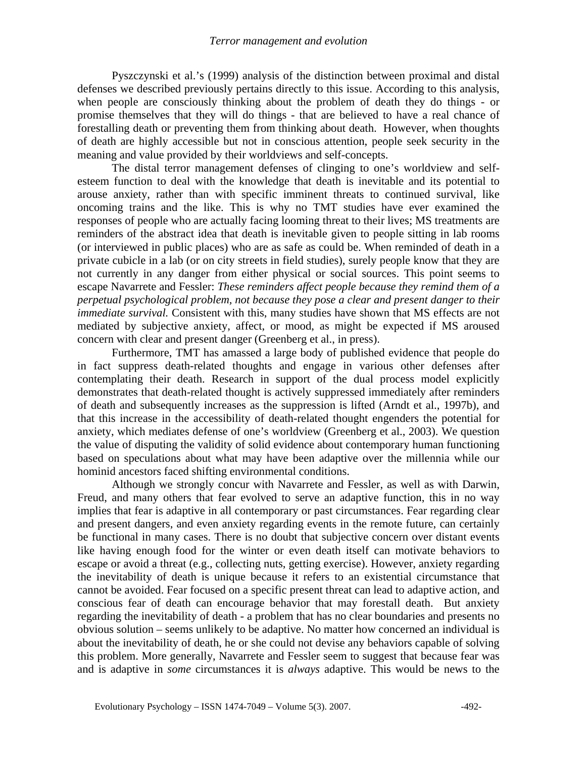Pyszczynski et al.'s (1999) analysis of the distinction between proximal and distal defenses we described previously pertains directly to this issue. According to this analysis, when people are consciously thinking about the problem of death they do things - or promise themselves that they will do things - that are believed to have a real chance of forestalling death or preventing them from thinking about death. However, when thoughts of death are highly accessible but not in conscious attention, people seek security in the meaning and value provided by their worldviews and self-concepts.

The distal terror management defenses of clinging to one's worldview and selfesteem function to deal with the knowledge that death is inevitable and its potential to arouse anxiety, rather than with specific imminent threats to continued survival, like oncoming trains and the like. This is why no TMT studies have ever examined the responses of people who are actually facing looming threat to their lives; MS treatments are reminders of the abstract idea that death is inevitable given to people sitting in lab rooms (or interviewed in public places) who are as safe as could be. When reminded of death in a private cubicle in a lab (or on city streets in field studies), surely people know that they are not currently in any danger from either physical or social sources. This point seems to escape Navarrete and Fessler: *These reminders affect people because they remind them of a perpetual psychological problem, not because they pose a clear and present danger to their immediate survival.* Consistent with this, many studies have shown that MS effects are not mediated by subjective anxiety, affect, or mood, as might be expected if MS aroused concern with clear and present danger (Greenberg et al., in press).

Furthermore, TMT has amassed a large body of published evidence that people do in fact suppress death-related thoughts and engage in various other defenses after contemplating their death. Research in support of the dual process model explicitly demonstrates that death-related thought is actively suppressed immediately after reminders of death and subsequently increases as the suppression is lifted (Arndt et al., 1997b), and that this increase in the accessibility of death-related thought engenders the potential for anxiety, which mediates defense of one's worldview (Greenberg et al., 2003). We question the value of disputing the validity of solid evidence about contemporary human functioning based on speculations about what may have been adaptive over the millennia while our hominid ancestors faced shifting environmental conditions.

Although we strongly concur with Navarrete and Fessler, as well as with Darwin, Freud, and many others that fear evolved to serve an adaptive function, this in no way implies that fear is adaptive in all contemporary or past circumstances. Fear regarding clear and present dangers, and even anxiety regarding events in the remote future, can certainly be functional in many cases. There is no doubt that subjective concern over distant events like having enough food for the winter or even death itself can motivate behaviors to escape or avoid a threat (e.g., collecting nuts, getting exercise). However, anxiety regarding the inevitability of death is unique because it refers to an existential circumstance that cannot be avoided. Fear focused on a specific present threat can lead to adaptive action, and conscious fear of death can encourage behavior that may forestall death. But anxiety regarding the inevitability of death - a problem that has no clear boundaries and presents no obvious solution – seems unlikely to be adaptive. No matter how concerned an individual is about the inevitability of death, he or she could not devise any behaviors capable of solving this problem. More generally, Navarrete and Fessler seem to suggest that because fear was and is adaptive in *some* circumstances it is *always* adaptive. This would be news to the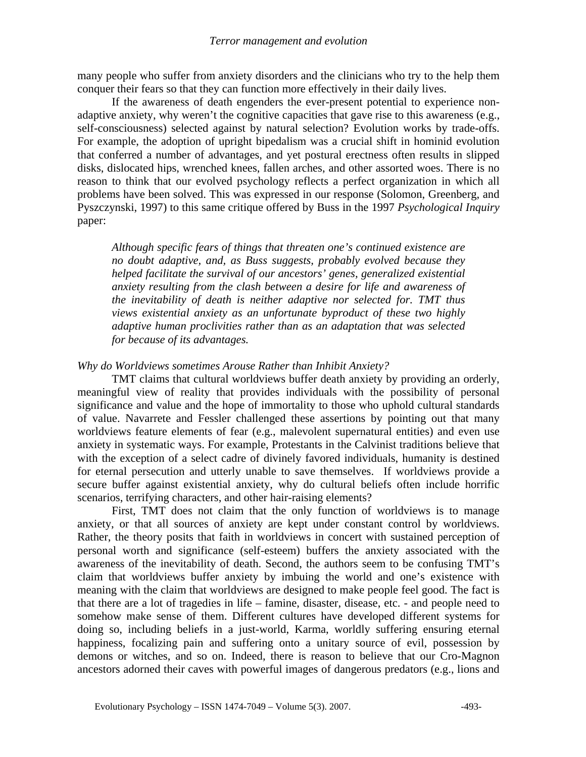many people who suffer from anxiety disorders and the clinicians who try to the help them conquer their fears so that they can function more effectively in their daily lives.

 If the awareness of death engenders the ever-present potential to experience nonadaptive anxiety, why weren't the cognitive capacities that gave rise to this awareness (e.g., self-consciousness) selected against by natural selection? Evolution works by trade-offs. For example, the adoption of upright bipedalism was a crucial shift in hominid evolution that conferred a number of advantages, and yet postural erectness often results in slipped disks, dislocated hips, wrenched knees, fallen arches, and other assorted woes. There is no reason to think that our evolved psychology reflects a perfect organization in which all problems have been solved. This was expressed in our response (Solomon, Greenberg, and Pyszczynski, 1997) to this same critique offered by Buss in the 1997 *Psychological Inquiry* paper:

*Although specific fears of things that threaten one's continued existence are no doubt adaptive, and, as Buss suggests, probably evolved because they helped facilitate the survival of our ancestors' genes, generalized existential anxiety resulting from the clash between a desire for life and awareness of the inevitability of death is neither adaptive nor selected for. TMT thus views existential anxiety as an unfortunate byproduct of these two highly adaptive human proclivities rather than as an adaptation that was selected for because of its advantages.* 

### *Why do Worldviews sometimes Arouse Rather than Inhibit Anxiety?*

TMT claims that cultural worldviews buffer death anxiety by providing an orderly, meaningful view of reality that provides individuals with the possibility of personal significance and value and the hope of immortality to those who uphold cultural standards of value. Navarrete and Fessler challenged these assertions by pointing out that many worldviews feature elements of fear (e.g., malevolent supernatural entities) and even use anxiety in systematic ways. For example, Protestants in the Calvinist traditions believe that with the exception of a select cadre of divinely favored individuals, humanity is destined for eternal persecution and utterly unable to save themselves. If worldviews provide a secure buffer against existential anxiety, why do cultural beliefs often include horrific scenarios, terrifying characters, and other hair-raising elements?

First, TMT does not claim that the only function of worldviews is to manage anxiety, or that all sources of anxiety are kept under constant control by worldviews. Rather, the theory posits that faith in worldviews in concert with sustained perception of personal worth and significance (self-esteem) buffers the anxiety associated with the awareness of the inevitability of death. Second, the authors seem to be confusing TMT's claim that worldviews buffer anxiety by imbuing the world and one's existence with meaning with the claim that worldviews are designed to make people feel good. The fact is that there are a lot of tragedies in life – famine, disaster, disease, etc. - and people need to somehow make sense of them. Different cultures have developed different systems for doing so, including beliefs in a just-world, Karma, worldly suffering ensuring eternal happiness, focalizing pain and suffering onto a unitary source of evil, possession by demons or witches, and so on. Indeed, there is reason to believe that our Cro-Magnon ancestors adorned their caves with powerful images of dangerous predators (e.g., lions and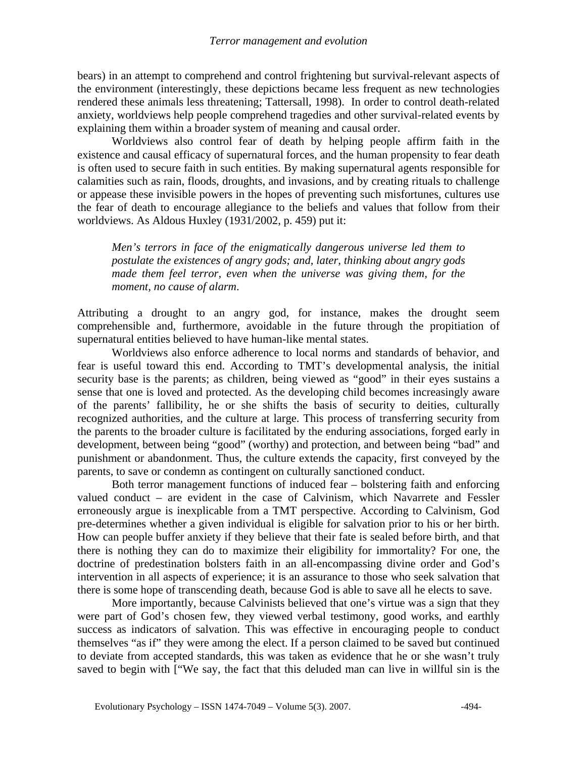bears) in an attempt to comprehend and control frightening but survival-relevant aspects of the environment (interestingly, these depictions became less frequent as new technologies rendered these animals less threatening; Tattersall, 1998). In order to control death-related anxiety, worldviews help people comprehend tragedies and other survival-related events by explaining them within a broader system of meaning and causal order.

Worldviews also control fear of death by helping people affirm faith in the existence and causal efficacy of supernatural forces, and the human propensity to fear death is often used to secure faith in such entities. By making supernatural agents responsible for calamities such as rain, floods, droughts, and invasions, and by creating rituals to challenge or appease these invisible powers in the hopes of preventing such misfortunes, cultures use the fear of death to encourage allegiance to the beliefs and values that follow from their worldviews. As Aldous Huxley (1931/2002, p. 459) put it:

*Men's terrors in face of the enigmatically dangerous universe led them to postulate the existences of angry gods; and, later, thinking about angry gods made them feel terror, even when the universe was giving them, for the moment, no cause of alarm*.

Attributing a drought to an angry god, for instance, makes the drought seem comprehensible and, furthermore, avoidable in the future through the propitiation of supernatural entities believed to have human-like mental states.

Worldviews also enforce adherence to local norms and standards of behavior, and fear is useful toward this end. According to TMT's developmental analysis, the initial security base is the parents; as children, being viewed as "good" in their eyes sustains a sense that one is loved and protected. As the developing child becomes increasingly aware of the parents' fallibility, he or she shifts the basis of security to deities, culturally recognized authorities, and the culture at large. This process of transferring security from the parents to the broader culture is facilitated by the enduring associations, forged early in development, between being "good" (worthy) and protection, and between being "bad" and punishment or abandonment. Thus, the culture extends the capacity, first conveyed by the parents, to save or condemn as contingent on culturally sanctioned conduct.

Both terror management functions of induced fear – bolstering faith and enforcing valued conduct – are evident in the case of Calvinism, which Navarrete and Fessler erroneously argue is inexplicable from a TMT perspective. According to Calvinism, God pre-determines whether a given individual is eligible for salvation prior to his or her birth. How can people buffer anxiety if they believe that their fate is sealed before birth, and that there is nothing they can do to maximize their eligibility for immortality? For one, the doctrine of predestination bolsters faith in an all-encompassing divine order and God's intervention in all aspects of experience; it is an assurance to those who seek salvation that there is some hope of transcending death, because God is able to save all he elects to save.

More importantly, because Calvinists believed that one's virtue was a sign that they were part of God's chosen few, they viewed verbal testimony, good works, and earthly success as indicators of salvation. This was effective in encouraging people to conduct themselves "as if" they were among the elect. If a person claimed to be saved but continued to deviate from accepted standards, this was taken as evidence that he or she wasn't truly saved to begin with ["We say, the fact that this deluded man can live in willful sin is the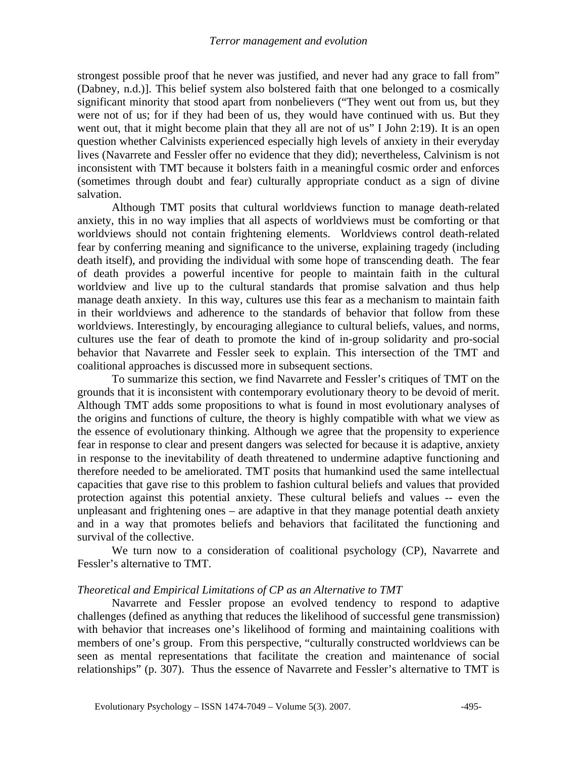#### *Terror management and evolution*

strongest possible proof that he never was justified, and never had any grace to fall from" (Dabney, n.d.)]. This belief system also bolstered faith that one belonged to a cosmically significant minority that stood apart from nonbelievers ("They went out from us, but they were not of us; for if they had been of us, they would have continued with us. But they went out, that it might become plain that they all are not of us" I John 2:19). It is an open question whether Calvinists experienced especially high levels of anxiety in their everyday lives (Navarrete and Fessler offer no evidence that they did); nevertheless, Calvinism is not inconsistent with TMT because it bolsters faith in a meaningful cosmic order and enforces (sometimes through doubt and fear) culturally appropriate conduct as a sign of divine salvation.

Although TMT posits that cultural worldviews function to manage death-related anxiety, this in no way implies that all aspects of worldviews must be comforting or that worldviews should not contain frightening elements. Worldviews control death-related fear by conferring meaning and significance to the universe, explaining tragedy (including death itself), and providing the individual with some hope of transcending death. The fear of death provides a powerful incentive for people to maintain faith in the cultural worldview and live up to the cultural standards that promise salvation and thus help manage death anxiety. In this way, cultures use this fear as a mechanism to maintain faith in their worldviews and adherence to the standards of behavior that follow from these worldviews. Interestingly, by encouraging allegiance to cultural beliefs, values, and norms, cultures use the fear of death to promote the kind of in-group solidarity and pro-social behavior that Navarrete and Fessler seek to explain. This intersection of the TMT and coalitional approaches is discussed more in subsequent sections.

 To summarize this section, we find Navarrete and Fessler's critiques of TMT on the grounds that it is inconsistent with contemporary evolutionary theory to be devoid of merit. Although TMT adds some propositions to what is found in most evolutionary analyses of the origins and functions of culture, the theory is highly compatible with what we view as the essence of evolutionary thinking. Although we agree that the propensity to experience fear in response to clear and present dangers was selected for because it is adaptive, anxiety in response to the inevitability of death threatened to undermine adaptive functioning and therefore needed to be ameliorated. TMT posits that humankind used the same intellectual capacities that gave rise to this problem to fashion cultural beliefs and values that provided protection against this potential anxiety. These cultural beliefs and values -- even the unpleasant and frightening ones – are adaptive in that they manage potential death anxiety and in a way that promotes beliefs and behaviors that facilitated the functioning and survival of the collective.

We turn now to a consideration of coalitional psychology (CP), Navarrete and Fessler's alternative to TMT.

#### *Theoretical and Empirical Limitations of CP as an Alternative to TMT*

Navarrete and Fessler propose an evolved tendency to respond to adaptive challenges (defined as anything that reduces the likelihood of successful gene transmission) with behavior that increases one's likelihood of forming and maintaining coalitions with members of one's group. From this perspective, "culturally constructed worldviews can be seen as mental representations that facilitate the creation and maintenance of social relationships" (p. 307). Thus the essence of Navarrete and Fessler's alternative to TMT is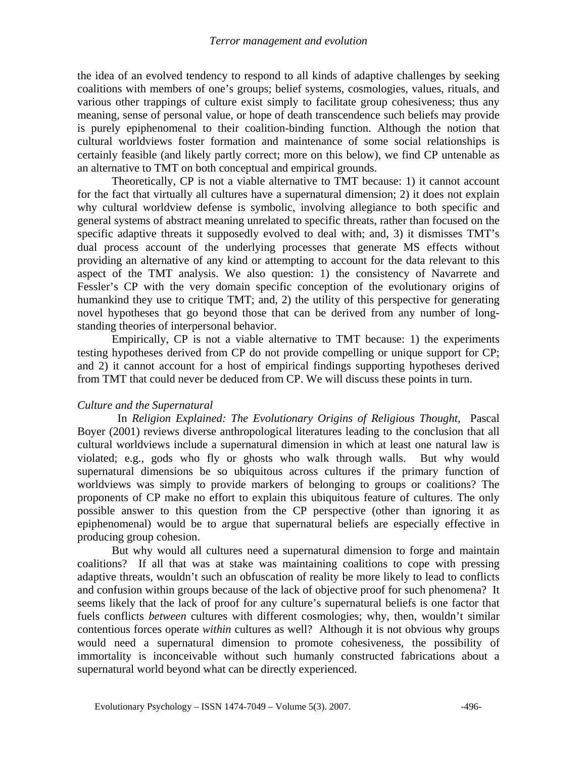the idea of an evolved tendency to respond to all kinds of adaptive challenges by seeking coalitions with members of one's groups; belief systems, cosmologies, values, rituals, and various other trappings of culture exist simply to facilitate group cohesiveness; thus any meaning, sense of personal value, or hope of death transcendence such beliefs may provide is purely epiphenomenal to their coalition-binding function. Although the notion that cultural worldviews foster formation and maintenance of some social relationships is certainly feasible (and likely partly correct; more on this below), we find CP untenable as an alternative to TMT on both conceptual and empirical grounds.

Theoretically, CP is not a viable alternative to TMT because: 1) it cannot account for the fact that virtually all cultures have a supernatural dimension; 2) it does not explain why cultural worldview defense is symbolic, involving allegiance to both specific and general systems of abstract meaning unrelated to specific threats, rather than focused on the specific adaptive threats it supposedly evolved to deal with; and, 3) it dismisses TMT's dual process account of the underlying processes that generate MS effects without providing an alternative of any kind or attempting to account for the data relevant to this aspect of the TMT analysis. We also question: 1) the consistency of Navarrete and Fessler's CP with the very domain specific conception of the evolutionary origins of humankind they use to critique TMT; and, 2) the utility of this perspective for generating novel hypotheses that go beyond those that can be derived from any number of longstanding theories of interpersonal behavior.

Empirically, CP is not a viable alternative to TMT because: 1) the experiments testing hypotheses derived from CP do not provide compelling or unique support for CP; and 2) it cannot account for a host of empirical findings supporting hypotheses derived from TMT that could never be deduced from CP. We will discuss these points in turn.

# *Culture and the Supernatural*

In *Religion Explained: The Evolutionary Origins of Religious Thought, Pascal* Boyer (2001) reviews diverse anthropological literatures leading to the conclusion that all cultural worldviews include a supernatural dimension in which at least one natural law is violated; e.g., gods who fly or ghosts who walk through walls. But why would supernatural dimensions be so ubiquitous across cultures if the primary function of worldviews was simply to provide markers of belonging to groups or coalitions? The proponents of CP make no effort to explain this ubiquitous feature of cultures. The only possible answer to this question from the CP perspective (other than ignoring it as epiphenomenal) would be to argue that supernatural beliefs are especially effective in producing group cohesion.

But why would all cultures need a supernatural dimension to forge and maintain coalitions? If all that was at stake was maintaining coalitions to cope with pressing adaptive threats, wouldn't such an obfuscation of reality be more likely to lead to conflicts and confusion within groups because of the lack of objective proof for such phenomena? It seems likely that the lack of proof for any culture's supernatural beliefs is one factor that fuels conflicts *between* cultures with different cosmologies; why, then, wouldn't similar contentious forces operate *within* cultures as well? Although it is not obvious why groups would need a supernatural dimension to promote cohesiveness, the possibility of immortality is inconceivable without such humanly constructed fabrications about a supernatural world beyond what can be directly experienced.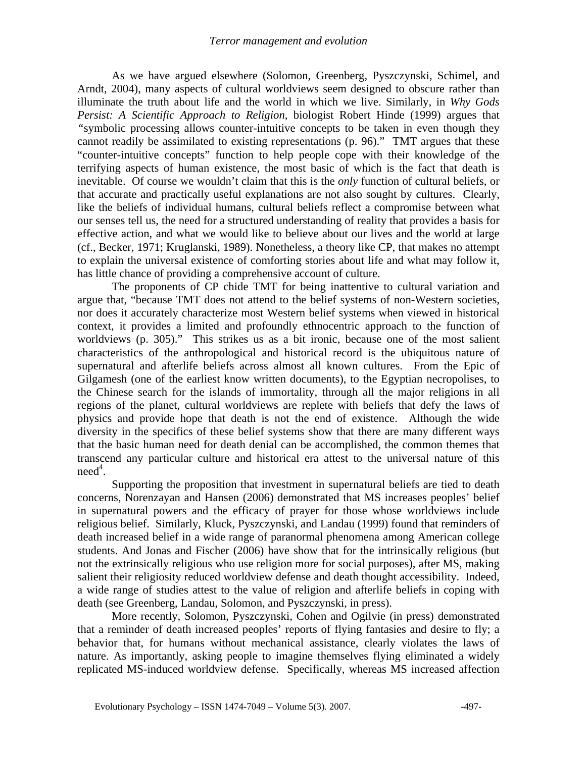As we have argued elsewhere (Solomon, Greenberg, Pyszczynski, Schimel, and Arndt, 2004), many aspects of cultural worldviews seem designed to obscure rather than illuminate the truth about life and the world in which we live. Similarly, in *Why Gods Persist: A Scientific Approach to Religion,* biologist Robert Hinde (1999) argues that *"*symbolic processing allows counter-intuitive concepts to be taken in even though they cannot readily be assimilated to existing representations (p. 96)." TMT argues that these "counter-intuitive concepts" function to help people cope with their knowledge of the terrifying aspects of human existence, the most basic of which is the fact that death is inevitable. Of course we wouldn't claim that this is the *only* function of cultural beliefs, or that accurate and practically useful explanations are not also sought by cultures. Clearly, like the beliefs of individual humans, cultural beliefs reflect a compromise between what our senses tell us, the need for a structured understanding of reality that provides a basis for effective action, and what we would like to believe about our lives and the world at large (cf., Becker, 1971; Kruglanski, 1989). Nonetheless, a theory like CP, that makes no attempt to explain the universal existence of comforting stories about life and what may follow it, has little chance of providing a comprehensive account of culture.

The proponents of CP chide TMT for being inattentive to cultural variation and argue that, "because TMT does not attend to the belief systems of non-Western societies, nor does it accurately characterize most Western belief systems when viewed in historical context, it provides a limited and profoundly ethnocentric approach to the function of worldviews (p. 305)." This strikes us as a bit ironic, because one of the most salient characteristics of the anthropological and historical record is the ubiquitous nature of supernatural and afterlife beliefs across almost all known cultures. From the Epic of Gilgamesh (one of the earliest know written documents), to the Egyptian necropolises, to the Chinese search for the islands of immortality, through all the major religions in all regions of the planet, cultural worldviews are replete with beliefs that defy the laws of physics and provide hope that death is not the end of existence. Although the wide diversity in the specifics of these belief systems show that there are many different ways that the basic human need for death denial can be accomplished, the common themes that transcend any particular culture and historical era attest to the universal nature of this  $need^4$ .

Supporting the proposition that investment in supernatural beliefs are tied to death concerns, Norenzayan and Hansen (2006) demonstrated that MS increases peoples' belief in supernatural powers and the efficacy of prayer for those whose worldviews include religious belief. Similarly, Kluck, Pyszczynski, and Landau (1999) found that reminders of death increased belief in a wide range of paranormal phenomena among American college students. And Jonas and Fischer (2006) have show that for the intrinsically religious (but not the extrinsically religious who use religion more for social purposes), after MS, making salient their religiosity reduced worldview defense and death thought accessibility. Indeed, a wide range of studies attest to the value of religion and afterlife beliefs in coping with death (see Greenberg, Landau, Solomon, and Pyszczynski, in press).

More recently, Solomon, Pyszczynski, Cohen and Ogilvie (in press) demonstrated that a reminder of death increased peoples' reports of flying fantasies and desire to fly; a behavior that, for humans without mechanical assistance, clearly violates the laws of nature. As importantly, asking people to imagine themselves flying eliminated a widely replicated MS-induced worldview defense. Specifically, whereas MS increased affection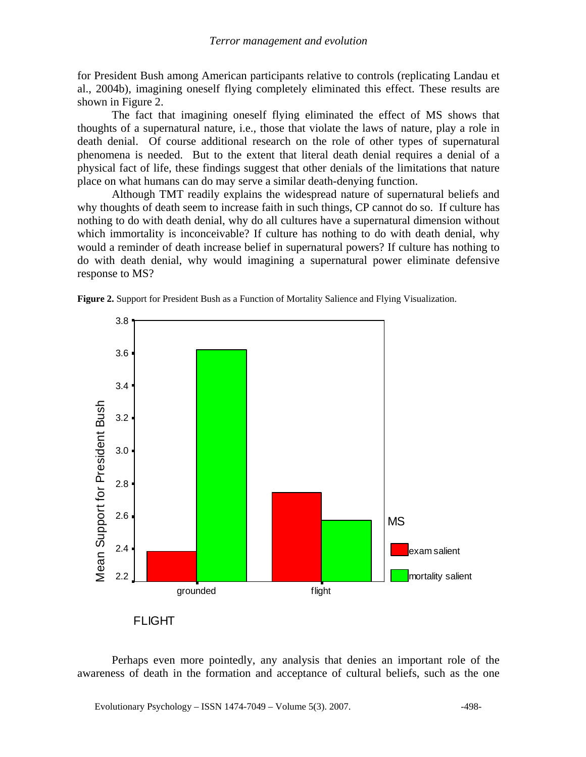for President Bush among American participants relative to controls (replicating Landau et al., 2004b), imagining oneself flying completely eliminated this effect. These results are shown in Figure 2.

The fact that imagining oneself flying eliminated the effect of MS shows that thoughts of a supernatural nature, i.e., those that violate the laws of nature, play a role in death denial. Of course additional research on the role of other types of supernatural phenomena is needed. But to the extent that literal death denial requires a denial of a physical fact of life, these findings suggest that other denials of the limitations that nature place on what humans can do may serve a similar death-denying function.

Although TMT readily explains the widespread nature of supernatural beliefs and why thoughts of death seem to increase faith in such things, CP cannot do so. If culture has nothing to do with death denial, why do all cultures have a supernatural dimension without which immortality is inconceivable? If culture has nothing to do with death denial, why would a reminder of death increase belief in supernatural powers? If culture has nothing to do with death denial, why would imagining a supernatural power eliminate defensive response to MS?





FLIGHT

Perhaps even more pointedly, any analysis that denies an important role of the awareness of death in the formation and acceptance of cultural beliefs, such as the one

Evolutionary Psychology – ISSN  $1474-7049$  – Volume 5(3). 2007.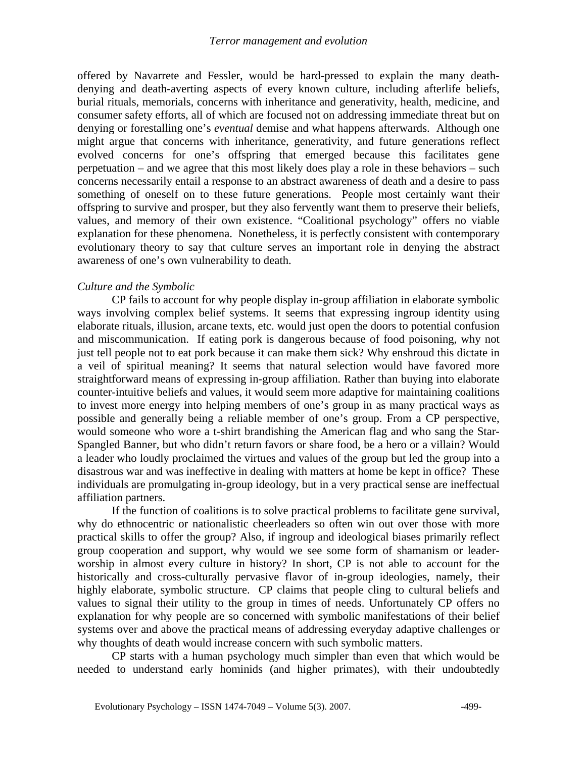offered by Navarrete and Fessler, would be hard-pressed to explain the many deathdenying and death-averting aspects of every known culture, including afterlife beliefs, burial rituals, memorials, concerns with inheritance and generativity, health, medicine, and consumer safety efforts, all of which are focused not on addressing immediate threat but on denying or forestalling one's *eventual* demise and what happens afterwards. Although one might argue that concerns with inheritance, generativity, and future generations reflect evolved concerns for one's offspring that emerged because this facilitates gene perpetuation – and we agree that this most likely does play a role in these behaviors – such concerns necessarily entail a response to an abstract awareness of death and a desire to pass something of oneself on to these future generations. People most certainly want their offspring to survive and prosper, but they also fervently want them to preserve their beliefs, values, and memory of their own existence. "Coalitional psychology" offers no viable explanation for these phenomena. Nonetheless, it is perfectly consistent with contemporary evolutionary theory to say that culture serves an important role in denying the abstract awareness of one's own vulnerability to death.

### *Culture and the Symbolic*

CP fails to account for why people display in-group affiliation in elaborate symbolic ways involving complex belief systems. It seems that expressing ingroup identity using elaborate rituals, illusion, arcane texts, etc. would just open the doors to potential confusion and miscommunication. If eating pork is dangerous because of food poisoning, why not just tell people not to eat pork because it can make them sick? Why enshroud this dictate in a veil of spiritual meaning? It seems that natural selection would have favored more straightforward means of expressing in-group affiliation. Rather than buying into elaborate counter-intuitive beliefs and values, it would seem more adaptive for maintaining coalitions to invest more energy into helping members of one's group in as many practical ways as possible and generally being a reliable member of one's group. From a CP perspective, would someone who wore a t-shirt brandishing the American flag and who sang the Star-Spangled Banner, but who didn't return favors or share food, be a hero or a villain? Would a leader who loudly proclaimed the virtues and values of the group but led the group into a disastrous war and was ineffective in dealing with matters at home be kept in office? These individuals are promulgating in-group ideology, but in a very practical sense are ineffectual affiliation partners.

If the function of coalitions is to solve practical problems to facilitate gene survival, why do ethnocentric or nationalistic cheerleaders so often win out over those with more practical skills to offer the group? Also, if ingroup and ideological biases primarily reflect group cooperation and support, why would we see some form of shamanism or leaderworship in almost every culture in history? In short, CP is not able to account for the historically and cross-culturally pervasive flavor of in-group ideologies, namely, their highly elaborate, symbolic structure. CP claims that people cling to cultural beliefs and values to signal their utility to the group in times of needs. Unfortunately CP offers no explanation for why people are so concerned with symbolic manifestations of their belief systems over and above the practical means of addressing everyday adaptive challenges or why thoughts of death would increase concern with such symbolic matters.

CP starts with a human psychology much simpler than even that which would be needed to understand early hominids (and higher primates), with their undoubtedly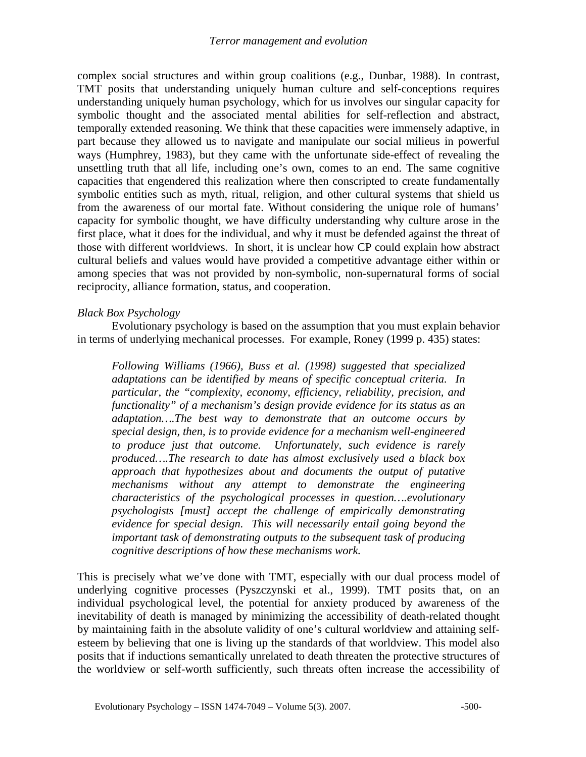complex social structures and within group coalitions (e.g., Dunbar, 1988). In contrast, TMT posits that understanding uniquely human culture and self-conceptions requires understanding uniquely human psychology, which for us involves our singular capacity for symbolic thought and the associated mental abilities for self-reflection and abstract, temporally extended reasoning. We think that these capacities were immensely adaptive, in part because they allowed us to navigate and manipulate our social milieus in powerful ways (Humphrey, 1983), but they came with the unfortunate side-effect of revealing the unsettling truth that all life, including one's own, comes to an end. The same cognitive capacities that engendered this realization where then conscripted to create fundamentally symbolic entities such as myth, ritual, religion, and other cultural systems that shield us from the awareness of our mortal fate. Without considering the unique role of humans' capacity for symbolic thought, we have difficulty understanding why culture arose in the first place, what it does for the individual, and why it must be defended against the threat of those with different worldviews. In short, it is unclear how CP could explain how abstract cultural beliefs and values would have provided a competitive advantage either within or among species that was not provided by non-symbolic, non-supernatural forms of social reciprocity, alliance formation, status, and cooperation.

# *Black Box Psychology*

Evolutionary psychology is based on the assumption that you must explain behavior in terms of underlying mechanical processes. For example, Roney (1999 p. 435) states:

*Following Williams (1966), Buss et al. (1998) suggested that specialized adaptations can be identified by means of specific conceptual criteria. In particular, the "complexity, economy, efficiency, reliability, precision, and functionality" of a mechanism's design provide evidence for its status as an adaptation….The best way to demonstrate that an outcome occurs by special design, then, is to provide evidence for a mechanism well-engineered to produce just that outcome. Unfortunately, such evidence is rarely produced….The research to date has almost exclusively used a black box approach that hypothesizes about and documents the output of putative mechanisms without any attempt to demonstrate the engineering characteristics of the psychological processes in question….evolutionary psychologists [must] accept the challenge of empirically demonstrating evidence for special design. This will necessarily entail going beyond the important task of demonstrating outputs to the subsequent task of producing cognitive descriptions of how these mechanisms work.* 

This is precisely what we've done with TMT, especially with our dual process model of underlying cognitive processes (Pyszczynski et al., 1999). TMT posits that, on an individual psychological level, the potential for anxiety produced by awareness of the inevitability of death is managed by minimizing the accessibility of death-related thought by maintaining faith in the absolute validity of one's cultural worldview and attaining selfesteem by believing that one is living up the standards of that worldview. This model also posits that if inductions semantically unrelated to death threaten the protective structures of the worldview or self-worth sufficiently, such threats often increase the accessibility of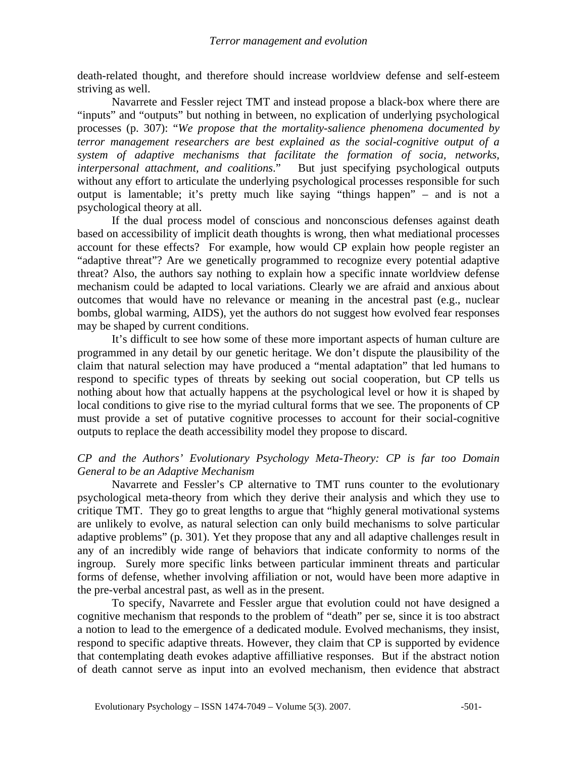death-related thought, and therefore should increase worldview defense and self-esteem striving as well.

Navarrete and Fessler reject TMT and instead propose a black-box where there are "inputs" and "outputs" but nothing in between, no explication of underlying psychological processes (p. 307): "*We propose that the mortality-salience phenomena documented by terror management researchers are best explained as the social-cognitive output of a system of adaptive mechanisms that facilitate the formation of socia, networks, interpersonal attachment, and coalitions*." But just specifying psychological outputs without any effort to articulate the underlying psychological processes responsible for such output is lamentable; it's pretty much like saying "things happen" – and is not a psychological theory at all.

If the dual process model of conscious and nonconscious defenses against death based on accessibility of implicit death thoughts is wrong, then what mediational processes account for these effects? For example, how would CP explain how people register an "adaptive threat"? Are we genetically programmed to recognize every potential adaptive threat? Also, the authors say nothing to explain how a specific innate worldview defense mechanism could be adapted to local variations. Clearly we are afraid and anxious about outcomes that would have no relevance or meaning in the ancestral past (e.g., nuclear bombs, global warming, AIDS), yet the authors do not suggest how evolved fear responses may be shaped by current conditions.

It's difficult to see how some of these more important aspects of human culture are programmed in any detail by our genetic heritage. We don't dispute the plausibility of the claim that natural selection may have produced a "mental adaptation" that led humans to respond to specific types of threats by seeking out social cooperation, but CP tells us nothing about how that actually happens at the psychological level or how it is shaped by local conditions to give rise to the myriad cultural forms that we see. The proponents of CP must provide a set of putative cognitive processes to account for their social-cognitive outputs to replace the death accessibility model they propose to discard.

# *CP and the Authors' Evolutionary Psychology Meta-Theory: CP is far too Domain General to be an Adaptive Mechanism*

Navarrete and Fessler's CP alternative to TMT runs counter to the evolutionary psychological meta-theory from which they derive their analysis and which they use to critique TMT. They go to great lengths to argue that "highly general motivational systems are unlikely to evolve, as natural selection can only build mechanisms to solve particular adaptive problems" (p. 301). Yet they propose that any and all adaptive challenges result in any of an incredibly wide range of behaviors that indicate conformity to norms of the ingroup. Surely more specific links between particular imminent threats and particular forms of defense, whether involving affiliation or not, would have been more adaptive in the pre-verbal ancestral past, as well as in the present.

To specify, Navarrete and Fessler argue that evolution could not have designed a cognitive mechanism that responds to the problem of "death" per se, since it is too abstract a notion to lead to the emergence of a dedicated module. Evolved mechanisms, they insist, respond to specific adaptive threats. However, they claim that CP is supported by evidence that contemplating death evokes adaptive affilliative responses. But if the abstract notion of death cannot serve as input into an evolved mechanism, then evidence that abstract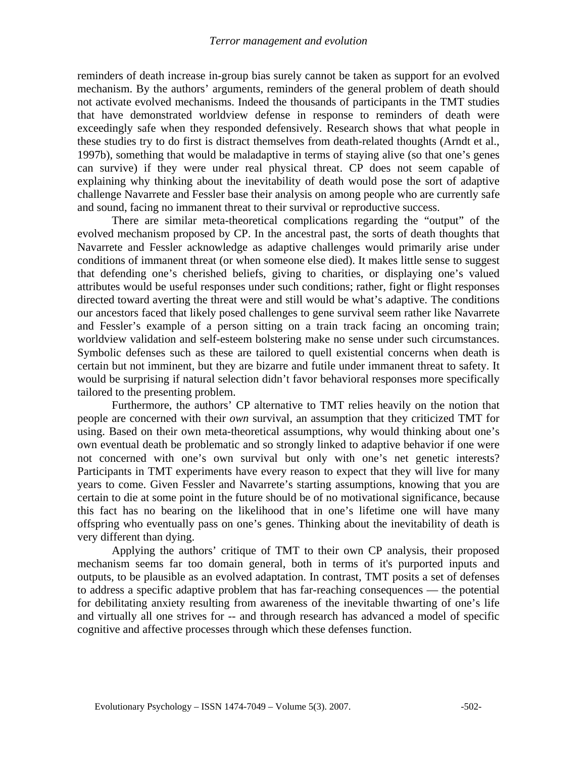reminders of death increase in-group bias surely cannot be taken as support for an evolved mechanism. By the authors' arguments, reminders of the general problem of death should not activate evolved mechanisms. Indeed the thousands of participants in the TMT studies that have demonstrated worldview defense in response to reminders of death were exceedingly safe when they responded defensively. Research shows that what people in these studies try to do first is distract themselves from death-related thoughts (Arndt et al., 1997b), something that would be maladaptive in terms of staying alive (so that one's genes can survive) if they were under real physical threat. CP does not seem capable of explaining why thinking about the inevitability of death would pose the sort of adaptive challenge Navarrete and Fessler base their analysis on among people who are currently safe and sound, facing no immanent threat to their survival or reproductive success.

There are similar meta-theoretical complications regarding the "output" of the evolved mechanism proposed by CP. In the ancestral past, the sorts of death thoughts that Navarrete and Fessler acknowledge as adaptive challenges would primarily arise under conditions of immanent threat (or when someone else died). It makes little sense to suggest that defending one's cherished beliefs, giving to charities, or displaying one's valued attributes would be useful responses under such conditions; rather, fight or flight responses directed toward averting the threat were and still would be what's adaptive. The conditions our ancestors faced that likely posed challenges to gene survival seem rather like Navarrete and Fessler's example of a person sitting on a train track facing an oncoming train; worldview validation and self-esteem bolstering make no sense under such circumstances. Symbolic defenses such as these are tailored to quell existential concerns when death is certain but not imminent, but they are bizarre and futile under immanent threat to safety. It would be surprising if natural selection didn't favor behavioral responses more specifically tailored to the presenting problem.

Furthermore, the authors' CP alternative to TMT relies heavily on the notion that people are concerned with their *own* survival, an assumption that they criticized TMT for using. Based on their own meta-theoretical assumptions, why would thinking about one's own eventual death be problematic and so strongly linked to adaptive behavior if one were not concerned with one's own survival but only with one's net genetic interests? Participants in TMT experiments have every reason to expect that they will live for many years to come. Given Fessler and Navarrete's starting assumptions, knowing that you are certain to die at some point in the future should be of no motivational significance, because this fact has no bearing on the likelihood that in one's lifetime one will have many offspring who eventually pass on one's genes. Thinking about the inevitability of death is very different than dying.

Applying the authors' critique of TMT to their own CP analysis, their proposed mechanism seems far too domain general, both in terms of it's purported inputs and outputs, to be plausible as an evolved adaptation. In contrast, TMT posits a set of defenses to address a specific adaptive problem that has far-reaching consequences — the potential for debilitating anxiety resulting from awareness of the inevitable thwarting of one's life and virtually all one strives for -- and through research has advanced a model of specific cognitive and affective processes through which these defenses function.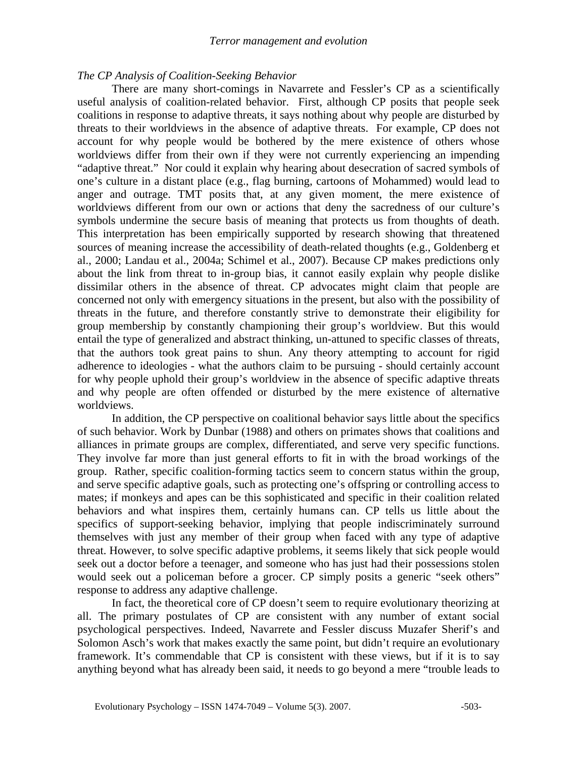# *The CP Analysis of Coalition-Seeking Behavior*

There are many short-comings in Navarrete and Fessler's CP as a scientifically useful analysis of coalition-related behavior. First, although CP posits that people seek coalitions in response to adaptive threats, it says nothing about why people are disturbed by threats to their worldviews in the absence of adaptive threats. For example, CP does not account for why people would be bothered by the mere existence of others whose worldviews differ from their own if they were not currently experiencing an impending "adaptive threat." Nor could it explain why hearing about desecration of sacred symbols of one's culture in a distant place (e.g., flag burning, cartoons of Mohammed) would lead to anger and outrage. TMT posits that, at any given moment, the mere existence of worldviews different from our own or actions that deny the sacredness of our culture's symbols undermine the secure basis of meaning that protects us from thoughts of death. This interpretation has been empirically supported by research showing that threatened sources of meaning increase the accessibility of death-related thoughts (e.g., Goldenberg et al., 2000; Landau et al., 2004a; Schimel et al., 2007). Because CP makes predictions only about the link from threat to in-group bias, it cannot easily explain why people dislike dissimilar others in the absence of threat. CP advocates might claim that people are concerned not only with emergency situations in the present, but also with the possibility of threats in the future, and therefore constantly strive to demonstrate their eligibility for group membership by constantly championing their group's worldview. But this would entail the type of generalized and abstract thinking, un-attuned to specific classes of threats, that the authors took great pains to shun. Any theory attempting to account for rigid adherence to ideologies - what the authors claim to be pursuing - should certainly account for why people uphold their group's worldview in the absence of specific adaptive threats and why people are often offended or disturbed by the mere existence of alternative worldviews.

In addition, the CP perspective on coalitional behavior says little about the specifics of such behavior. Work by Dunbar (1988) and others on primates shows that coalitions and alliances in primate groups are complex, differentiated, and serve very specific functions. They involve far more than just general efforts to fit in with the broad workings of the group. Rather, specific coalition-forming tactics seem to concern status within the group, and serve specific adaptive goals, such as protecting one's offspring or controlling access to mates; if monkeys and apes can be this sophisticated and specific in their coalition related behaviors and what inspires them, certainly humans can. CP tells us little about the specifics of support-seeking behavior, implying that people indiscriminately surround themselves with just any member of their group when faced with any type of adaptive threat. However, to solve specific adaptive problems, it seems likely that sick people would seek out a doctor before a teenager, and someone who has just had their possessions stolen would seek out a policeman before a grocer. CP simply posits a generic "seek others" response to address any adaptive challenge.

In fact, the theoretical core of CP doesn't seem to require evolutionary theorizing at all. The primary postulates of CP are consistent with any number of extant social psychological perspectives. Indeed, Navarrete and Fessler discuss Muzafer Sherif's and Solomon Asch's work that makes exactly the same point, but didn't require an evolutionary framework. It's commendable that CP is consistent with these views, but if it is to say anything beyond what has already been said, it needs to go beyond a mere "trouble leads to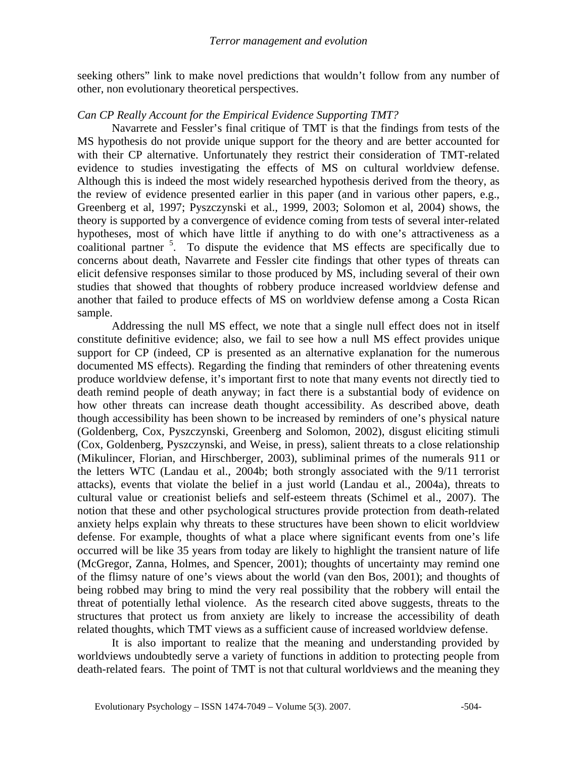seeking others" link to make novel predictions that wouldn't follow from any number of other, non evolutionary theoretical perspectives.

# *Can CP Really Account for the Empirical Evidence Supporting TMT?*

Navarrete and Fessler's final critique of TMT is that the findings from tests of the MS hypothesis do not provide unique support for the theory and are better accounted for with their CP alternative. Unfortunately they restrict their consideration of TMT-related evidence to studies investigating the effects of MS on cultural worldview defense. Although this is indeed the most widely researched hypothesis derived from the theory, as the review of evidence presented earlier in this paper (and in various other papers, e.g., Greenberg et al, 1997; Pyszczynski et al., 1999, 2003; Solomon et al, 2004) shows, the theory is supported by a convergence of evidence coming from tests of several inter-related hypotheses, most of which have little if anything to do with one's attractiveness as a coalitional partner <sup>5</sup>. To dispute the evidence that MS effects are specifically due to concerns about death, Navarrete and Fessler cite findings that other types of threats can elicit defensive responses similar to those produced by MS, including several of their own studies that showed that thoughts of robbery produce increased worldview defense and another that failed to produce effects of MS on worldview defense among a Costa Rican sample.

Addressing the null MS effect, we note that a single null effect does not in itself constitute definitive evidence; also, we fail to see how a null MS effect provides unique support for CP (indeed, CP is presented as an alternative explanation for the numerous documented MS effects). Regarding the finding that reminders of other threatening events produce worldview defense, it's important first to note that many events not directly tied to death remind people of death anyway; in fact there is a substantial body of evidence on how other threats can increase death thought accessibility. As described above, death though accessibility has been shown to be increased by reminders of one's physical nature (Goldenberg, Cox, Pyszczynski, Greenberg and Solomon, 2002), disgust eliciting stimuli (Cox, Goldenberg, Pyszczynski, and Weise, in press), salient threats to a close relationship (Mikulincer, Florian, and Hirschberger, 2003), subliminal primes of the numerals 911 or the letters WTC (Landau et al., 2004b; both strongly associated with the 9/11 terrorist attacks), events that violate the belief in a just world (Landau et al., 2004a), threats to cultural value or creationist beliefs and self-esteem threats (Schimel et al., 2007). The notion that these and other psychological structures provide protection from death-related anxiety helps explain why threats to these structures have been shown to elicit worldview defense. For example, thoughts of what a place where significant events from one's life occurred will be like 35 years from today are likely to highlight the transient nature of life (McGregor, Zanna, Holmes, and Spencer, 2001); thoughts of uncertainty may remind one of the flimsy nature of one's views about the world (van den Bos, 2001); and thoughts of being robbed may bring to mind the very real possibility that the robbery will entail the threat of potentially lethal violence. As the research cited above suggests, threats to the structures that protect us from anxiety are likely to increase the accessibility of death related thoughts, which TMT views as a sufficient cause of increased worldview defense.

It is also important to realize that the meaning and understanding provided by worldviews undoubtedly serve a variety of functions in addition to protecting people from death-related fears. The point of TMT is not that cultural worldviews and the meaning they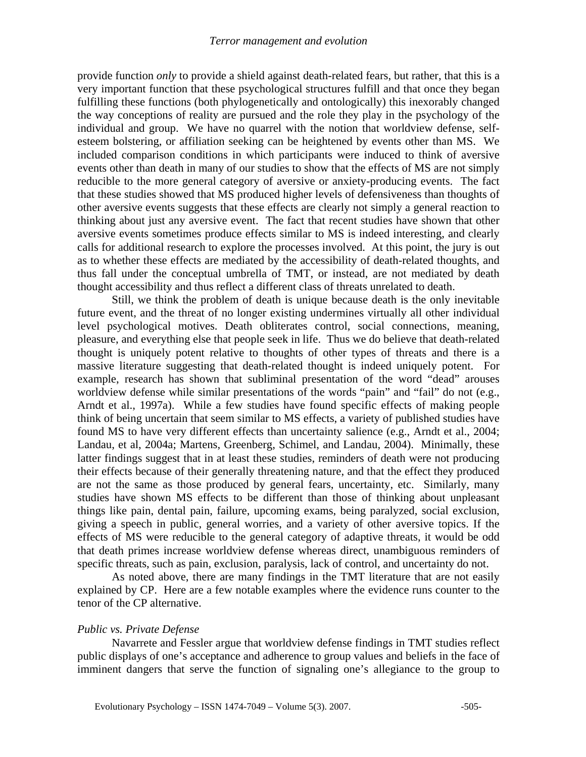provide function *only* to provide a shield against death-related fears, but rather, that this is a very important function that these psychological structures fulfill and that once they began fulfilling these functions (both phylogenetically and ontologically) this inexorably changed the way conceptions of reality are pursued and the role they play in the psychology of the individual and group. We have no quarrel with the notion that worldview defense, selfesteem bolstering, or affiliation seeking can be heightened by events other than MS. We included comparison conditions in which participants were induced to think of aversive events other than death in many of our studies to show that the effects of MS are not simply reducible to the more general category of aversive or anxiety-producing events. The fact that these studies showed that MS produced higher levels of defensiveness than thoughts of other aversive events suggests that these effects are clearly not simply a general reaction to thinking about just any aversive event. The fact that recent studies have shown that other aversive events sometimes produce effects similar to MS is indeed interesting, and clearly calls for additional research to explore the processes involved. At this point, the jury is out as to whether these effects are mediated by the accessibility of death-related thoughts, and thus fall under the conceptual umbrella of TMT, or instead, are not mediated by death thought accessibility and thus reflect a different class of threats unrelated to death.

Still, we think the problem of death is unique because death is the only inevitable future event, and the threat of no longer existing undermines virtually all other individual level psychological motives. Death obliterates control, social connections, meaning, pleasure, and everything else that people seek in life. Thus we do believe that death-related thought is uniquely potent relative to thoughts of other types of threats and there is a massive literature suggesting that death-related thought is indeed uniquely potent. For example, research has shown that subliminal presentation of the word "dead" arouses worldview defense while similar presentations of the words "pain" and "fail" do not (e.g., Arndt et al., 1997a). While a few studies have found specific effects of making people think of being uncertain that seem similar to MS effects, a variety of published studies have found MS to have very different effects than uncertainty salience (e.g., Arndt et al., 2004; Landau, et al, 2004a; Martens, Greenberg, Schimel, and Landau, 2004). Minimally, these latter findings suggest that in at least these studies, reminders of death were not producing their effects because of their generally threatening nature, and that the effect they produced are not the same as those produced by general fears, uncertainty, etc. Similarly, many studies have shown MS effects to be different than those of thinking about unpleasant things like pain, dental pain, failure, upcoming exams, being paralyzed, social exclusion, giving a speech in public, general worries, and a variety of other aversive topics. If the effects of MS were reducible to the general category of adaptive threats, it would be odd that death primes increase worldview defense whereas direct, unambiguous reminders of specific threats, such as pain, exclusion, paralysis, lack of control, and uncertainty do not.

As noted above, there are many findings in the TMT literature that are not easily explained by CP. Here are a few notable examples where the evidence runs counter to the tenor of the CP alternative.

#### *Public vs. Private Defense*

Navarrete and Fessler argue that worldview defense findings in TMT studies reflect public displays of one's acceptance and adherence to group values and beliefs in the face of imminent dangers that serve the function of signaling one's allegiance to the group to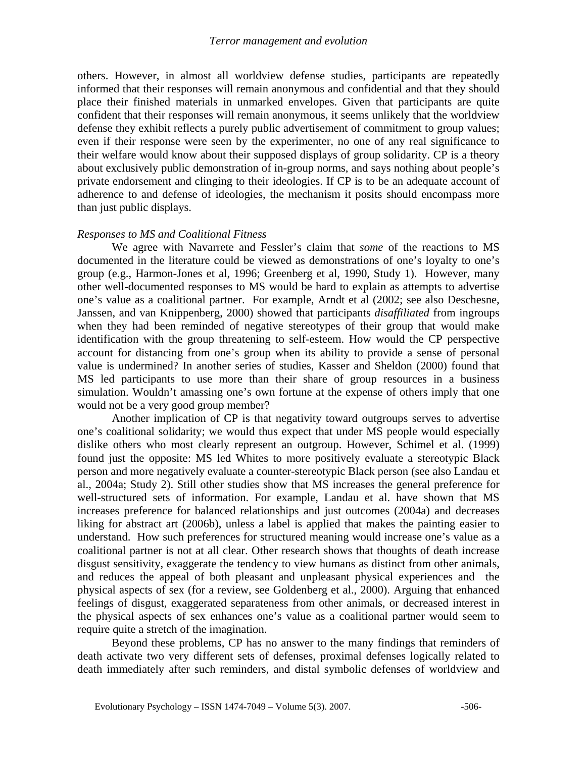#### *Terror management and evolution*

others. However, in almost all worldview defense studies, participants are repeatedly informed that their responses will remain anonymous and confidential and that they should place their finished materials in unmarked envelopes. Given that participants are quite confident that their responses will remain anonymous, it seems unlikely that the worldview defense they exhibit reflects a purely public advertisement of commitment to group values; even if their response were seen by the experimenter, no one of any real significance to their welfare would know about their supposed displays of group solidarity. CP is a theory about exclusively public demonstration of in-group norms, and says nothing about people's private endorsement and clinging to their ideologies. If CP is to be an adequate account of adherence to and defense of ideologies, the mechanism it posits should encompass more than just public displays.

### *Responses to MS and Coalitional Fitness*

We agree with Navarrete and Fessler's claim that *some* of the reactions to MS documented in the literature could be viewed as demonstrations of one's loyalty to one's group (e.g., Harmon-Jones et al, 1996; Greenberg et al, 1990, Study 1). However, many other well-documented responses to MS would be hard to explain as attempts to advertise one's value as a coalitional partner. For example, Arndt et al (2002; see also Deschesne, Janssen, and van Knippenberg, 2000) showed that participants *disaffiliated* from ingroups when they had been reminded of negative stereotypes of their group that would make identification with the group threatening to self-esteem. How would the CP perspective account for distancing from one's group when its ability to provide a sense of personal value is undermined? In another series of studies, Kasser and Sheldon (2000) found that MS led participants to use more than their share of group resources in a business simulation. Wouldn't amassing one's own fortune at the expense of others imply that one would not be a very good group member?

Another implication of CP is that negativity toward outgroups serves to advertise one's coalitional solidarity; we would thus expect that under MS people would especially dislike others who most clearly represent an outgroup. However, Schimel et al. (1999) found just the opposite: MS led Whites to more positively evaluate a stereotypic Black person and more negatively evaluate a counter-stereotypic Black person (see also Landau et al., 2004a; Study 2). Still other studies show that MS increases the general preference for well-structured sets of information. For example, Landau et al. have shown that MS increases preference for balanced relationships and just outcomes (2004a) and decreases liking for abstract art (2006b), unless a label is applied that makes the painting easier to understand. How such preferences for structured meaning would increase one's value as a coalitional partner is not at all clear. Other research shows that thoughts of death increase disgust sensitivity, exaggerate the tendency to view humans as distinct from other animals, and reduces the appeal of both pleasant and unpleasant physical experiences and the physical aspects of sex (for a review, see Goldenberg et al., 2000). Arguing that enhanced feelings of disgust, exaggerated separateness from other animals, or decreased interest in the physical aspects of sex enhances one's value as a coalitional partner would seem to require quite a stretch of the imagination.

Beyond these problems, CP has no answer to the many findings that reminders of death activate two very different sets of defenses, proximal defenses logically related to death immediately after such reminders, and distal symbolic defenses of worldview and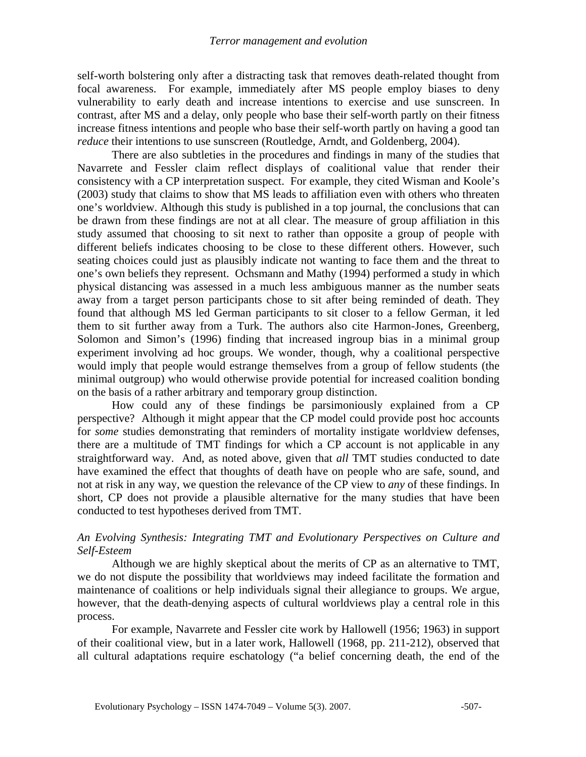self-worth bolstering only after a distracting task that removes death-related thought from focal awareness. For example, immediately after MS people employ biases to deny vulnerability to early death and increase intentions to exercise and use sunscreen. In contrast, after MS and a delay, only people who base their self-worth partly on their fitness increase fitness intentions and people who base their self-worth partly on having a good tan *reduce* their intentions to use sunscreen (Routledge, Arndt, and Goldenberg, 2004).

There are also subtleties in the procedures and findings in many of the studies that Navarrete and Fessler claim reflect displays of coalitional value that render their consistency with a CP interpretation suspect. For example, they cited Wisman and Koole's (2003) study that claims to show that MS leads to affiliation even with others who threaten one's worldview. Although this study is published in a top journal, the conclusions that can be drawn from these findings are not at all clear. The measure of group affiliation in this study assumed that choosing to sit next to rather than opposite a group of people with different beliefs indicates choosing to be close to these different others. However, such seating choices could just as plausibly indicate not wanting to face them and the threat to one's own beliefs they represent. Ochsmann and Mathy (1994) performed a study in which physical distancing was assessed in a much less ambiguous manner as the number seats away from a target person participants chose to sit after being reminded of death. They found that although MS led German participants to sit closer to a fellow German, it led them to sit further away from a Turk. The authors also cite Harmon-Jones, Greenberg, Solomon and Simon's (1996) finding that increased ingroup bias in a minimal group experiment involving ad hoc groups. We wonder, though, why a coalitional perspective would imply that people would estrange themselves from a group of fellow students (the minimal outgroup) who would otherwise provide potential for increased coalition bonding on the basis of a rather arbitrary and temporary group distinction.

How could any of these findings be parsimoniously explained from a CP perspective? Although it might appear that the CP model could provide post hoc accounts for *some* studies demonstrating that reminders of mortality instigate worldview defenses, there are a multitude of TMT findings for which a CP account is not applicable in any straightforward way. And, as noted above, given that *all* TMT studies conducted to date have examined the effect that thoughts of death have on people who are safe, sound, and not at risk in any way, we question the relevance of the CP view to *any* of these findings. In short, CP does not provide a plausible alternative for the many studies that have been conducted to test hypotheses derived from TMT.

# *An Evolving Synthesis: Integrating TMT and Evolutionary Perspectives on Culture and Self-Esteem*

 Although we are highly skeptical about the merits of CP as an alternative to TMT, we do not dispute the possibility that worldviews may indeed facilitate the formation and maintenance of coalitions or help individuals signal their allegiance to groups. We argue, however, that the death-denying aspects of cultural worldviews play a central role in this process.

For example, Navarrete and Fessler cite work by Hallowell (1956; 1963) in support of their coalitional view, but in a later work, Hallowell (1968, pp. 211-212), observed that all cultural adaptations require eschatology ("a belief concerning death, the end of the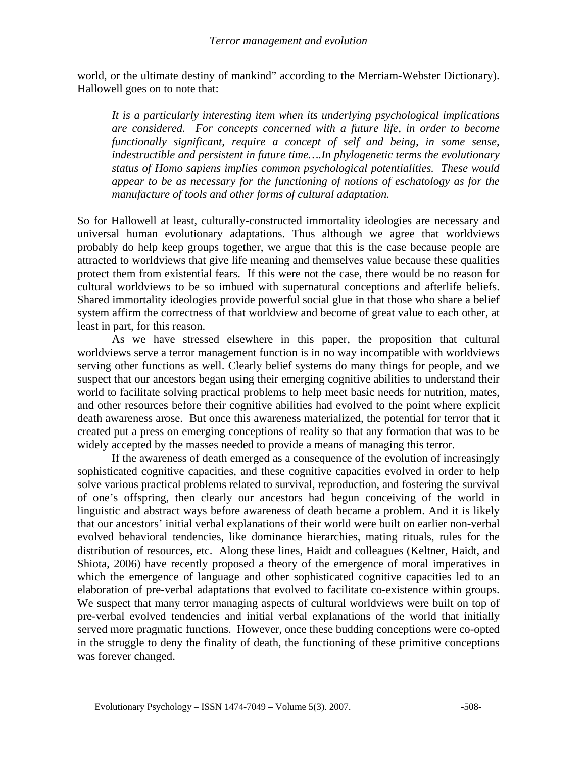world, or the ultimate destiny of mankind" according to the Merriam-Webster Dictionary). Hallowell goes on to note that:

*It is a particularly interesting item when its underlying psychological implications are considered. For concepts concerned with a future life, in order to become functionally significant, require a concept of self and being, in some sense, indestructible and persistent in future time….In phylogenetic terms the evolutionary status of Homo sapiens implies common psychological potentialities. These would appear to be as necessary for the functioning of notions of eschatology as for the manufacture of tools and other forms of cultural adaptation.* 

So for Hallowell at least, culturally-constructed immortality ideologies are necessary and universal human evolutionary adaptations. Thus although we agree that worldviews probably do help keep groups together, we argue that this is the case because people are attracted to worldviews that give life meaning and themselves value because these qualities protect them from existential fears. If this were not the case, there would be no reason for cultural worldviews to be so imbued with supernatural conceptions and afterlife beliefs. Shared immortality ideologies provide powerful social glue in that those who share a belief system affirm the correctness of that worldview and become of great value to each other, at least in part, for this reason.

As we have stressed elsewhere in this paper, the proposition that cultural worldviews serve a terror management function is in no way incompatible with worldviews serving other functions as well. Clearly belief systems do many things for people, and we suspect that our ancestors began using their emerging cognitive abilities to understand their world to facilitate solving practical problems to help meet basic needs for nutrition, mates, and other resources before their cognitive abilities had evolved to the point where explicit death awareness arose. But once this awareness materialized, the potential for terror that it created put a press on emerging conceptions of reality so that any formation that was to be widely accepted by the masses needed to provide a means of managing this terror.

 If the awareness of death emerged as a consequence of the evolution of increasingly sophisticated cognitive capacities, and these cognitive capacities evolved in order to help solve various practical problems related to survival, reproduction, and fostering the survival of one's offspring, then clearly our ancestors had begun conceiving of the world in linguistic and abstract ways before awareness of death became a problem. And it is likely that our ancestors' initial verbal explanations of their world were built on earlier non-verbal evolved behavioral tendencies, like dominance hierarchies, mating rituals, rules for the distribution of resources, etc. Along these lines, Haidt and colleagues (Keltner, Haidt, and Shiota, 2006) have recently proposed a theory of the emergence of moral imperatives in which the emergence of language and other sophisticated cognitive capacities led to an elaboration of pre-verbal adaptations that evolved to facilitate co-existence within groups. We suspect that many terror managing aspects of cultural worldviews were built on top of pre-verbal evolved tendencies and initial verbal explanations of the world that initially served more pragmatic functions. However, once these budding conceptions were co-opted in the struggle to deny the finality of death, the functioning of these primitive conceptions was forever changed.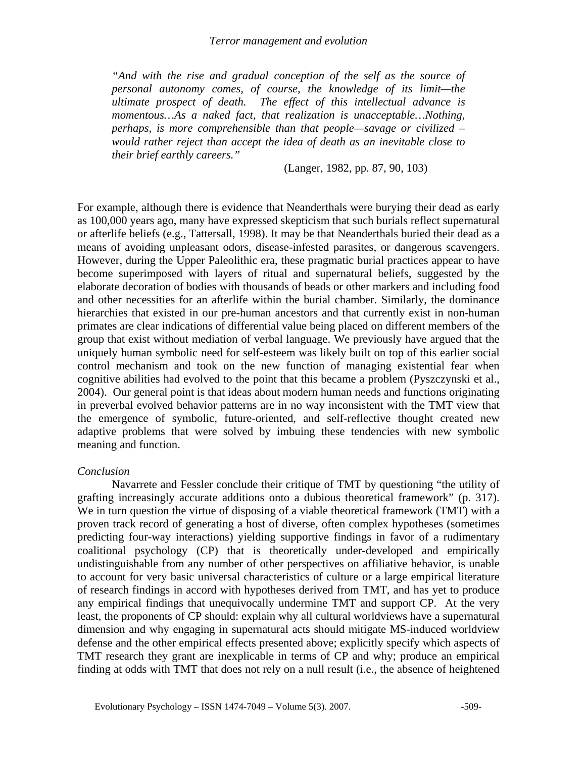#### *Terror management and evolution*

*"And with the rise and gradual conception of the self as the source of personal autonomy comes, of course, the knowledge of its limit—the ultimate prospect of death. The effect of this intellectual advance is momentous…As a naked fact, that realization is unacceptable…Nothing, perhaps, is more comprehensible than that people—savage or civilized – would rather reject than accept the idea of death as an inevitable close to their brief earthly careers."* 

(Langer, 1982, pp. 87, 90, 103)

For example, although there is evidence that Neanderthals were burying their dead as early as 100,000 years ago, many have expressed skepticism that such burials reflect supernatural or afterlife beliefs (e.g., Tattersall, 1998). It may be that Neanderthals buried their dead as a means of avoiding unpleasant odors, disease-infested parasites, or dangerous scavengers. However, during the Upper Paleolithic era, these pragmatic burial practices appear to have become superimposed with layers of ritual and supernatural beliefs, suggested by the elaborate decoration of bodies with thousands of beads or other markers and including food and other necessities for an afterlife within the burial chamber. Similarly, the dominance hierarchies that existed in our pre-human ancestors and that currently exist in non-human primates are clear indications of differential value being placed on different members of the group that exist without mediation of verbal language. We previously have argued that the uniquely human symbolic need for self-esteem was likely built on top of this earlier social control mechanism and took on the new function of managing existential fear when cognitive abilities had evolved to the point that this became a problem (Pyszczynski et al., 2004). Our general point is that ideas about modern human needs and functions originating in preverbal evolved behavior patterns are in no way inconsistent with the TMT view that the emergence of symbolic, future-oriented, and self-reflective thought created new adaptive problems that were solved by imbuing these tendencies with new symbolic meaning and function.

#### *Conclusion*

Navarrete and Fessler conclude their critique of TMT by questioning "the utility of grafting increasingly accurate additions onto a dubious theoretical framework" (p. 317). We in turn question the virtue of disposing of a viable theoretical framework (TMT) with a proven track record of generating a host of diverse, often complex hypotheses (sometimes predicting four-way interactions) yielding supportive findings in favor of a rudimentary coalitional psychology (CP) that is theoretically under-developed and empirically undistinguishable from any number of other perspectives on affiliative behavior, is unable to account for very basic universal characteristics of culture or a large empirical literature of research findings in accord with hypotheses derived from TMT, and has yet to produce any empirical findings that unequivocally undermine TMT and support CP. At the very least, the proponents of CP should: explain why all cultural worldviews have a supernatural dimension and why engaging in supernatural acts should mitigate MS-induced worldview defense and the other empirical effects presented above; explicitly specify which aspects of TMT research they grant are inexplicable in terms of CP and why; produce an empirical finding at odds with TMT that does not rely on a null result (i.e., the absence of heightened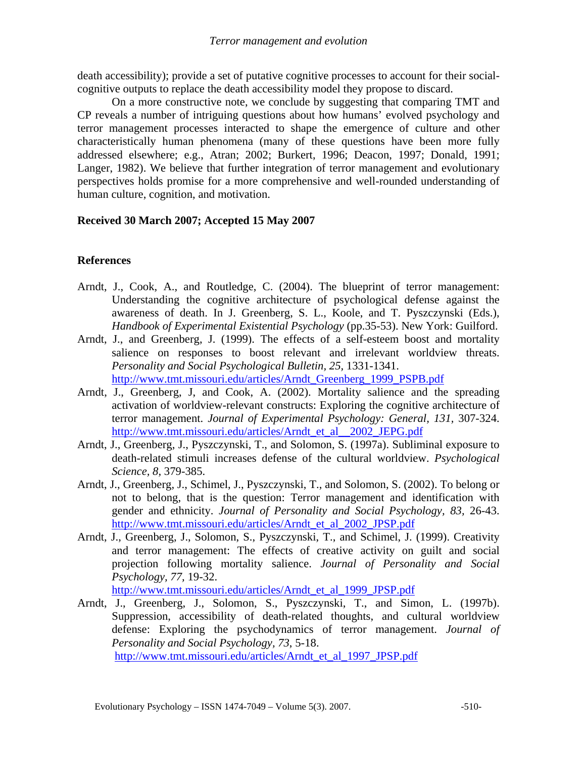death accessibility); provide a set of putative cognitive processes to account for their socialcognitive outputs to replace the death accessibility model they propose to discard.

On a more constructive note, we conclude by suggesting that comparing TMT and CP reveals a number of intriguing questions about how humans' evolved psychology and terror management processes interacted to shape the emergence of culture and other characteristically human phenomena (many of these questions have been more fully addressed elsewhere; e.g., Atran; 2002; Burkert, 1996; Deacon, 1997; Donald, 1991; Langer, 1982). We believe that further integration of terror management and evolutionary perspectives holds promise for a more comprehensive and well-rounded understanding of human culture, cognition, and motivation.

# **Received 30 March 2007; Accepted 15 May 2007**

# **References**

- Arndt, J., Cook, A., and Routledge, C. (2004). The blueprint of terror management: Understanding the cognitive architecture of psychological defense against the awareness of death. In J. Greenberg, S. L., Koole, and T. Pyszczynski (Eds.), *Handbook of Experimental Existential Psychology* (pp.35-53). New York: Guilford.
- Arndt, J., and Greenberg, J. (1999). The effects of a self-esteem boost and mortality salience on responses to boost relevant and irrelevant worldview threats. *Personality and Social Psychological Bulletin, 25,* 1331-1341. http://www.tmt.missouri.edu/articles/Arndt\_Greenberg\_1999\_PSPB.pdf
- Arndt, J., Greenberg, J, and Cook, A. (2002). Mortality salience and the spreading activation of worldview-relevant constructs: Exploring the cognitive architecture of terror management. *Journal of Experimental Psychology: General, 131,* 307-324. http://www.tmt.missouri.edu/articles/Arndt\_et\_al\_\_2002\_JEPG.pdf
- Arndt, J., Greenberg, J., Pyszczynski, T., and Solomon, S. (1997a). Subliminal exposure to death-related stimuli increases defense of the cultural worldview. *Psychological Science, 8,* 379-385.
- Arndt, J., Greenberg, J., Schimel, J., Pyszczynski, T., and Solomon, S. (2002). To belong or not to belong, that is the question: Terror management and identification with gender and ethnicity. *Journal of Personality and Social Psychology, 83,* 26-43. http://www.tmt.missouri.edu/articles/Arndt\_et\_al\_2002\_JPSP.pdf
- Arndt, J., Greenberg, J., Solomon, S., Pyszczynski, T., and Schimel, J. (1999). Creativity and terror management: The effects of creative activity on guilt and social projection following mortality salience. *Journal of Personality and Social Psychology, 77,* 19-32.

http://www.tmt.missouri.edu/articles/Arndt\_et\_al\_1999\_JPSP.pdf

Arndt, J., Greenberg, J., Solomon, S., Pyszczynski, T., and Simon, L. (1997b). Suppression, accessibility of death-related thoughts, and cultural worldview defense: Exploring the psychodynamics of terror management. *Journal of Personality and Social Psychology, 73*, 5-18. http://www.tmt.missouri.edu/articles/Arndt\_et\_al\_1997\_JPSP.pdf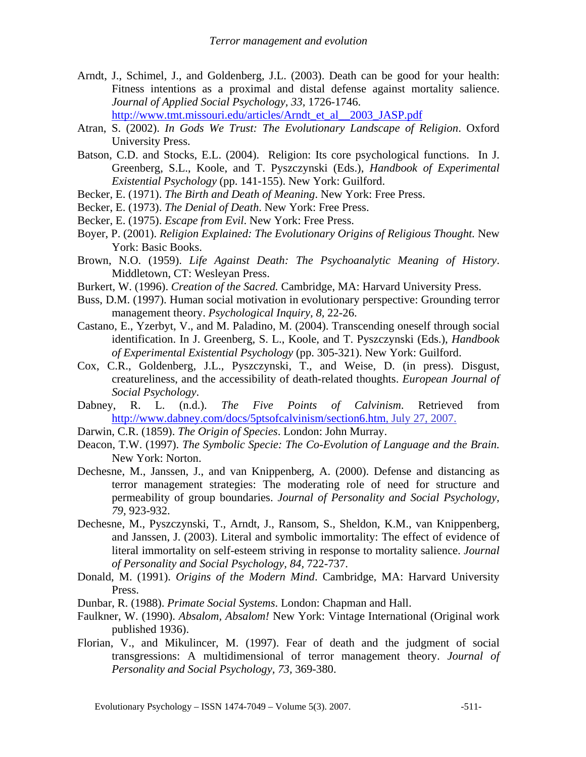- Arndt, J., Schimel, J., and Goldenberg, J.L. (2003). Death can be good for your health: Fitness intentions as a proximal and distal defense against mortality salience. *Journal of Applied Social Psychology, 33,* 1726-1746. http://www.tmt.missouri.edu/articles/Arndt\_et\_al\_\_2003\_JASP.pdf
- Atran, S. (2002). *In Gods We Trust: The Evolutionary Landscape of Religion*. Oxford University Press.
- Batson, C.D. and Stocks, E.L. (2004). Religion: Its core psychological functions. In J. Greenberg, S.L., Koole, and T. Pyszczynski (Eds.), *Handbook of Experimental Existential Psychology* (pp. 141-155). New York: Guilford.
- Becker, E. (1971). *The Birth and Death of Meaning*. New York: Free Press.
- Becker, E. (1973). *The Denial of Death*. New York: Free Press.
- Becker, E. (1975). *Escape from Evil*. New York: Free Press.
- Boyer, P. (2001). *Religion Explained: The Evolutionary Origins of Religious Thought.* New York: Basic Books.
- Brown, N.O. (1959). *Life Against Death: The Psychoanalytic Meaning of History*. Middletown, CT: Wesleyan Press.
- Burkert, W. (1996). *Creation of the Sacred.* Cambridge, MA: Harvard University Press.
- Buss, D.M. (1997). Human social motivation in evolutionary perspective: Grounding terror management theory. *Psychological Inquiry, 8,* 22-26.
- Castano, E., Yzerbyt, V., and M. Paladino, M. (2004). Transcending oneself through social identification. In J. Greenberg, S. L., Koole, and T. Pyszczynski (Eds.), *Handbook of Experimental Existential Psychology* (pp. 305-321). New York: Guilford.
- Cox, C.R., Goldenberg, J.L., Pyszczynski, T., and Weise, D. (in press). Disgust, creatureliness, and the accessibility of death-related thoughts. *European Journal of Social Psychology*.
- Dabney, R. L. (n.d.). *The Five Points of Calvinism*. Retrieved from http://www.dabney.com/docs/5ptsofcalvinism/section6.htm, July 27, 2007.
- Darwin, C.R. (1859). *The Origin of Species*. London: John Murray.
- Deacon, T.W. (1997). *The Symbolic Specie: The Co-Evolution of Language and the Brain.*  New York: Norton.
- Dechesne, M., Janssen, J., and van Knippenberg, A. (2000). Defense and distancing as terror management strategies: The moderating role of need for structure and permeability of group boundaries. *Journal of Personality and Social Psychology, 79,* 923-932.
- Dechesne, M., Pyszczynski, T., Arndt, J., Ransom, S., Sheldon, K.M., van Knippenberg, and Janssen, J. (2003). Literal and symbolic immortality: The effect of evidence of literal immortality on self-esteem striving in response to mortality salience. *Journal of Personality and Social Psychology, 84,* 722-737.
- Donald, M. (1991). *Origins of the Modern Mind*. Cambridge, MA: Harvard University Press.
- Dunbar, R. (1988). *Primate Social Systems*. London: Chapman and Hall.
- Faulkner, W. (1990). *Absalom, Absalom!* New York: Vintage International (Original work published 1936).
- Florian, V., and Mikulincer, M. (1997). Fear of death and the judgment of social transgressions: A multidimensional of terror management theory. *Journal of Personality and Social Psychology, 73,* 369-380.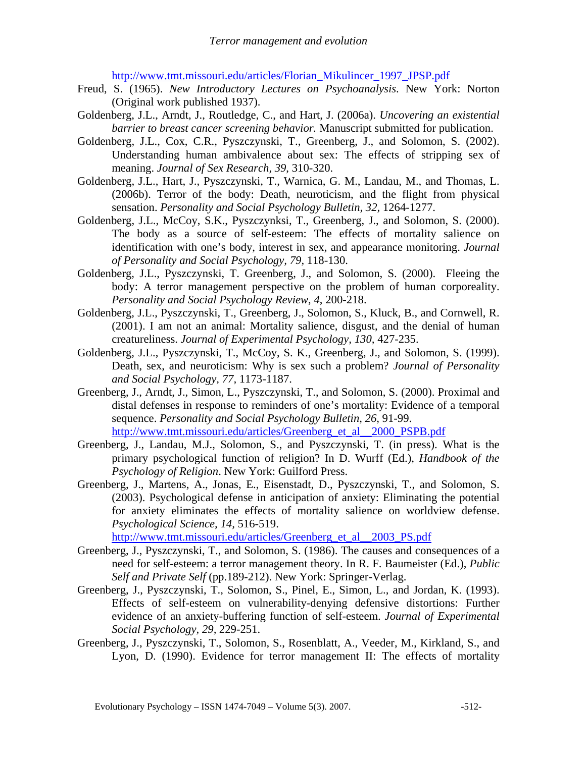http://www.tmt.missouri.edu/articles/Florian\_Mikulincer\_1997\_JPSP.pdf

- Freud, S. (1965). *New Introductory Lectures on Psychoanalysis*. New York: Norton (Original work published 1937).
- Goldenberg, J.L., Arndt, J., Routledge, C., and Hart, J. (2006a). *Uncovering an existential barrier to breast cancer screening behavior.* Manuscript submitted for publication.
- Goldenberg, J.L., Cox, C.R., Pyszczynski, T., Greenberg, J., and Solomon, S. (2002). Understanding human ambivalence about sex: The effects of stripping sex of meaning. *Journal of Sex Research, 39*, 310-320.
- Goldenberg, J.L., Hart, J., Pyszczynski, T., Warnica, G. M., Landau, M., and Thomas, L. (2006b). Terror of the body: Death, neuroticism, and the flight from physical sensation. *Personality and Social Psychology Bulletin, 32,* 1264-1277.
- Goldenberg, J.L., McCoy, S.K., Pyszczynksi, T., Greenberg, J., and Solomon, S. (2000). The body as a source of self-esteem: The effects of mortality salience on identification with one's body, interest in sex, and appearance monitoring. *Journal of Personality and Social Psychology, 79,* 118-130.
- Goldenberg, J.L., Pyszczynski, T. Greenberg, J., and Solomon, S. (2000). Fleeing the body: A terror management perspective on the problem of human corporeality. *Personality and Social Psychology Review*, *4*, 200-218.
- Goldenberg, J.L., Pyszczynski, T., Greenberg, J., Solomon, S., Kluck, B., and Cornwell, R. (2001). I am not an animal: Mortality salience, disgust, and the denial of human creatureliness. *Journal of Experimental Psychology, 130,* 427-235.
- Goldenberg, J.L., Pyszczynski, T., McCoy, S. K., Greenberg, J., and Solomon, S. (1999). Death, sex, and neuroticism: Why is sex such a problem? *Journal of Personality and Social Psychology, 77,* 1173-1187.
- Greenberg, J., Arndt, J., Simon, L., Pyszczynski, T., and Solomon, S. (2000). Proximal and distal defenses in response to reminders of one's mortality: Evidence of a temporal sequence. *Personality and Social Psychology Bulletin, 26,* 91-99. http://www.tmt.missouri.edu/articles/Greenberg\_et\_al\_\_2000\_PSPB.pdf
- Greenberg, J., Landau, M.J., Solomon, S., and Pyszczynski, T. (in press). What is the primary psychological function of religion? In D. Wurff (Ed.), *Handbook of the Psychology of Religion*. New York: Guilford Press.
- Greenberg, J., Martens, A., Jonas, E., Eisenstadt, D., Pyszczynski, T., and Solomon, S. (2003). Psychological defense in anticipation of anxiety: Eliminating the potential for anxiety eliminates the effects of mortality salience on worldview defense. *Psychological Science, 14,* 516-519.

http://www.tmt.missouri.edu/articles/Greenberg\_et\_al\_\_2003\_PS.pdf

- Greenberg, J., Pyszczynski, T., and Solomon, S. (1986). The causes and consequences of a need for self-esteem: a terror management theory. In R. F. Baumeister (Ed.), *Public Self and Private Self* (pp.189-212). New York: Springer-Verlag.
- Greenberg, J., Pyszczynski, T., Solomon, S., Pinel, E., Simon, L., and Jordan, K. (1993). Effects of self-esteem on vulnerability-denying defensive distortions: Further evidence of an anxiety-buffering function of self-esteem. *Journal of Experimental Social Psychology, 29,* 229-251.
- Greenberg, J., Pyszczynski, T., Solomon, S., Rosenblatt, A., Veeder, M., Kirkland, S., and Lyon, D. (1990). Evidence for terror management II: The effects of mortality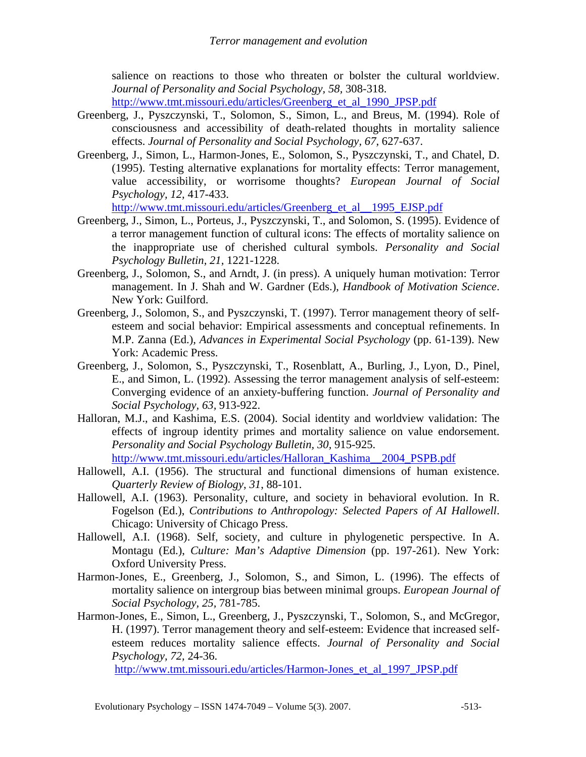salience on reactions to those who threaten or bolster the cultural worldview. *Journal of Personality and Social Psychology, 58,* 308-318.

http://www.tmt.missouri.edu/articles/Greenberg\_et\_al\_1990\_JPSP.pdf

- Greenberg, J., Pyszczynski, T., Solomon, S., Simon, L., and Breus, M. (1994). Role of consciousness and accessibility of death-related thoughts in mortality salience effects. *Journal of Personality and Social Psychology, 67,* 627-637.
- Greenberg, J., Simon, L., Harmon-Jones, E., Solomon, S., Pyszczynski, T., and Chatel, D. (1995). Testing alternative explanations for mortality effects: Terror management, value accessibility, or worrisome thoughts? *European Journal of Social Psychology, 12,* 417-433.

http://www.tmt.missouri.edu/articles/Greenberg\_et\_al\_\_1995\_EJSP.pdf

- Greenberg, J., Simon, L., Porteus, J., Pyszczynski, T., and Solomon, S. (1995). Evidence of a terror management function of cultural icons: The effects of mortality salience on the inappropriate use of cherished cultural symbols. *Personality and Social Psychology Bulletin, 21,* 1221-1228.
- Greenberg, J., Solomon, S., and Arndt, J. (in press). A uniquely human motivation: Terror management. In J. Shah and W. Gardner (Eds.), *Handbook of Motivation Science*. New York: Guilford.
- Greenberg, J., Solomon, S., and Pyszczynski, T. (1997). Terror management theory of selfesteem and social behavior: Empirical assessments and conceptual refinements. In M.P. Zanna (Ed.), *Advances in Experimental Social Psychology* (pp. 61-139). New York: Academic Press.
- Greenberg, J., Solomon, S., Pyszczynski, T., Rosenblatt, A., Burling, J., Lyon, D., Pinel, E., and Simon, L. (1992). Assessing the terror management analysis of self-esteem: Converging evidence of an anxiety-buffering function. *Journal of Personality and Social Psychology, 63,* 913-922.
- Halloran, M.J., and Kashima, E.S. (2004). Social identity and worldview validation: The effects of ingroup identity primes and mortality salience on value endorsement. *Personality and Social Psychology Bulletin, 30,* 915-925. http://www.tmt.missouri.edu/articles/Halloran\_Kashima\_\_2004\_PSPB.pdf
- Hallowell, A.I. (1956). The structural and functional dimensions of human existence. *Quarterly Review of Biology*, *31*, 88-101.
- Hallowell, A.I. (1963). Personality, culture, and society in behavioral evolution. In R. Fogelson (Ed.), *Contributions to Anthropology: Selected Papers of AI Hallowell*. Chicago: University of Chicago Press.
- Hallowell, A.I. (1968). Self, society, and culture in phylogenetic perspective. In A. Montagu (Ed.), *Culture: Man's Adaptive Dimension* (pp. 197-261). New York: Oxford University Press.
- Harmon-Jones, E., Greenberg, J., Solomon, S., and Simon, L. (1996). The effects of mortality salience on intergroup bias between minimal groups. *European Journal of Social Psychology, 25,* 781-785.
- Harmon-Jones, E., Simon, L., Greenberg, J., Pyszczynski, T., Solomon, S., and McGregor, H. (1997). Terror management theory and self-esteem: Evidence that increased selfesteem reduces mortality salience effects. *Journal of Personality and Social Psychology, 72,* 24-36.

http://www.tmt.missouri.edu/articles/Harmon-Jones\_et\_al\_1997\_JPSP.pdf.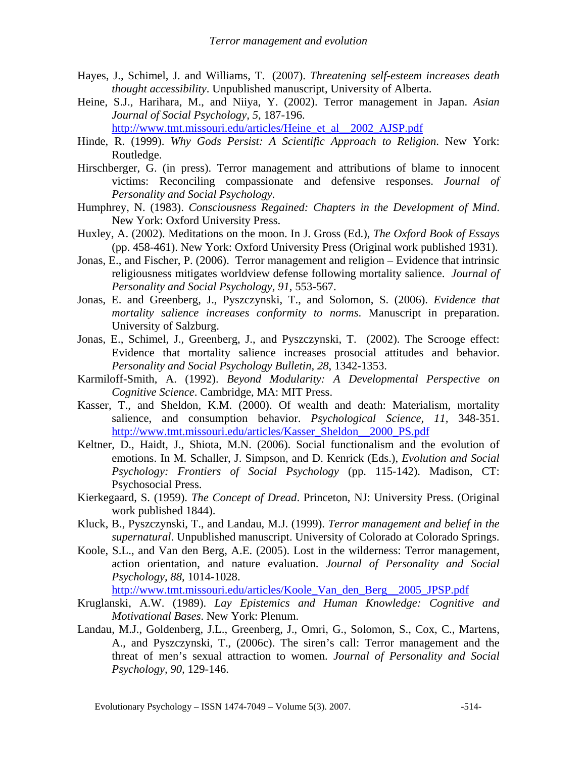- Hayes, J., Schimel, J. and Williams, T. (2007). *Threatening self-esteem increases death thought accessibility*. Unpublished manuscript, University of Alberta.
- Heine, S.J., Harihara, M., and Niiya, Y. (2002). Terror management in Japan. *Asian Journal of Social Psychology, 5,* 187-196.

http://www.tmt.missouri.edu/articles/Heine\_et\_al\_\_2002\_AJSP.pdf

- Hinde, R. (1999). *Why Gods Persist: A Scientific Approach to Religion*. New York: Routledge.
- Hirschberger, G. (in press). Terror management and attributions of blame to innocent victims: Reconciling compassionate and defensive responses. *Journal of Personality and Social Psychology.*
- Humphrey, N. (1983). *Consciousness Regained: Chapters in the Development of Mind*. New York: Oxford University Press.
- Huxley, A. (2002). Meditations on the moon. In J. Gross (Ed.), *The Oxford Book of Essays* (pp. 458-461). New York: Oxford University Press (Original work published 1931).
- Jonas, E., and Fischer, P. (2006). Terror management and religion Evidence that intrinsic religiousness mitigates worldview defense following mortality salience. *Journal of Personality and Social Psychology, 91*, 553-567.
- Jonas, E. and Greenberg, J., Pyszczynski, T., and Solomon, S. (2006). *Evidence that mortality salience increases conformity to norms*. Manuscript in preparation. University of Salzburg.
- Jonas, E., Schimel, J., Greenberg, J., and Pyszczynski, T. (2002). The Scrooge effect: Evidence that mortality salience increases prosocial attitudes and behavior. *Personality and Social Psychology Bulletin, 28*, 1342-1353.
- Karmiloff-Smith, A. (1992). *Beyond Modularity: A Developmental Perspective on Cognitive Science*. Cambridge, MA: MIT Press.
- Kasser, T., and Sheldon, K.M. (2000). Of wealth and death: Materialism, mortality salience, and consumption behavior. *Psychological Science, 11,* 348-351. http://www.tmt.missouri.edu/articles/Kasser\_Sheldon\_\_2000\_PS.pdf
- Keltner, D., Haidt, J., Shiota, M.N. (2006). Social functionalism and the evolution of emotions. In M. Schaller, J. Simpson, and D. Kenrick (Eds.), *Evolution and Social Psychology: Frontiers of Social Psychology* (pp. 115-142). Madison, CT: Psychosocial Press.
- Kierkegaard, S. (1959). *The Concept of Dread*. Princeton, NJ: University Press. (Original work published 1844).
- Kluck, B., Pyszczynski, T., and Landau, M.J. (1999). *Terror management and belief in the supernatural*. Unpublished manuscript. University of Colorado at Colorado Springs.
- Koole, S.L., and Van den Berg, A.E. (2005). Lost in the wilderness: Terror management, action orientation, and nature evaluation. *Journal of Personality and Social Psychology, 88,* 1014-1028.

http://www.tmt.missouri.edu/articles/Koole\_Van\_den\_Berg\_\_2005\_JPSP.pdf

- Kruglanski, A.W. (1989). *Lay Epistemics and Human Knowledge: Cognitive and Motivational Bases*. New York: Plenum.
- Landau, M.J., Goldenberg, J.L., Greenberg, J., Omri, G., Solomon, S., Cox, C., Martens, A., and Pyszczynski, T., (2006c). The siren's call: Terror management and the threat of men's sexual attraction to women. *Journal of Personality and Social Psychology, 90,* 129-146.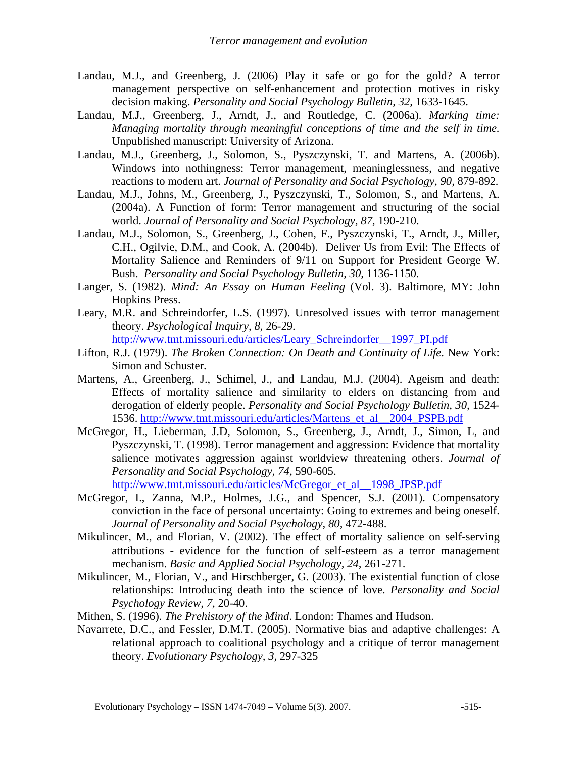- Landau, M.J., and Greenberg, J. (2006) Play it safe or go for the gold? A terror management perspective on self-enhancement and protection motives in risky decision making. *Personality and Social Psychology Bulletin, 32,* 1633-1645.
- Landau, M.J., Greenberg, J., Arndt, J., and Routledge, C. (2006a). *Marking time: Managing mortality through meaningful conceptions of time and the self in time.* Unpublished manuscript: University of Arizona.
- Landau, M.J., Greenberg, J., Solomon, S., Pyszczynski, T. and Martens, A. (2006b). Windows into nothingness: Terror management, meaninglessness, and negative reactions to modern art. *Journal of Personality and Social Psychology, 90,* 879-892*.*
- Landau, M.J., Johns, M., Greenberg, J., Pyszczynski, T., Solomon, S., and Martens, A. (2004a). A Function of form: Terror management and structuring of the social world. *Journal of Personality and Social Psychology, 87,* 190-210.
- Landau, M.J., Solomon, S., Greenberg, J., Cohen, F., Pyszczynski, T., Arndt, J., Miller, C.H., Ogilvie, D.M., and Cook, A. (2004b). Deliver Us from Evil: The Effects of Mortality Salience and Reminders of 9/11 on Support for President George W. Bush. *Personality and Social Psychology Bulletin, 30,* 1136-1150*.*
- Langer, S. (1982). *Mind: An Essay on Human Feeling* (Vol. 3). Baltimore, MY: John Hopkins Press.
- Leary, M.R. and Schreindorfer, L.S. (1997). Unresolved issues with terror management theory. *Psychological Inquiry, 8,* 26-29. http://www.tmt.missouri.edu/articles/Leary\_Schreindorfer\_\_1997\_PI.pdf
- Lifton, R.J. (1979). *The Broken Connection: On Death and Continuity of Life*. New York: Simon and Schuster.
- Martens, A., Greenberg, J., Schimel, J., and Landau, M.J. (2004). Ageism and death: Effects of mortality salience and similarity to elders on distancing from and derogation of elderly people. *Personality and Social Psychology Bulletin, 30,* 1524- 1536. http://www.tmt.missouri.edu/articles/Martens\_et\_al\_\_2004\_PSPB.pdf
- McGregor, H., Lieberman, J.D, Solomon, S., Greenberg, J., Arndt, J., Simon, L, and Pyszczynski, T. (1998). Terror management and aggression: Evidence that mortality salience motivates aggression against worldview threatening others. *Journal of Personality and Social Psychology, 74,* 590-605.

http://www.tmt.missouri.edu/articles/McGregor\_et\_al\_\_1998\_JPSP.pdf

- McGregor, I., Zanna, M.P., Holmes, J.G., and Spencer, S.J. (2001). Compensatory conviction in the face of personal uncertainty: Going to extremes and being oneself. *Journal of Personality and Social Psychology, 80,* 472-488.
- Mikulincer, M., and Florian, V. (2002). The effect of mortality salience on self-serving attributions - evidence for the function of self-esteem as a terror management mechanism. *Basic and Applied Social Psychology, 24,* 261-271.
- Mikulincer, M., Florian, V., and Hirschberger, G. (2003). The existential function of close relationships: Introducing death into the science of love. *Personality and Social Psychology Review, 7,* 20-40.
- Mithen, S. (1996). *The Prehistory of the Mind*. London: Thames and Hudson.
- Navarrete, D.C., and Fessler, D.M.T. (2005). Normative bias and adaptive challenges: A relational approach to coalitional psychology and a critique of terror management theory. *Evolutionary Psychology, 3,* 297-325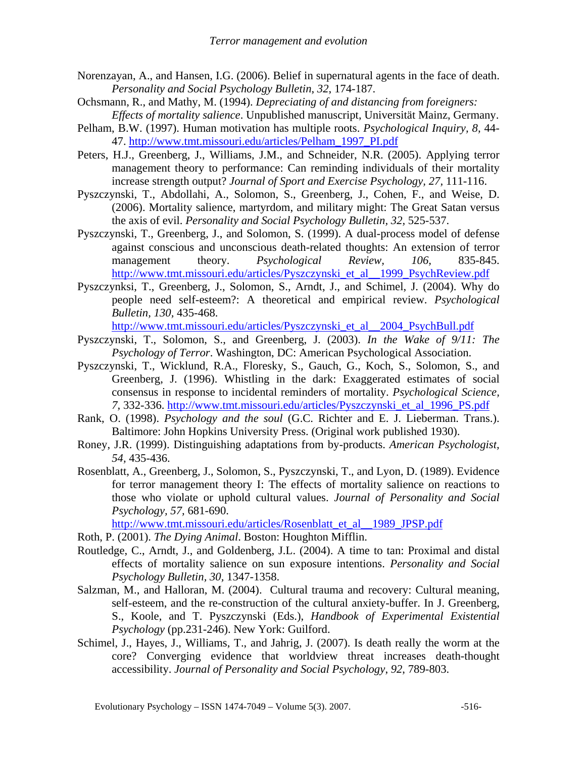- Norenzayan, A., and Hansen, I.G. (2006). Belief in supernatural agents in the face of death. *Personality and Social Psychology Bulletin*, *32*, 174-187.
- Ochsmann, R., and Mathy, M. (1994). *Depreciating of and distancing from foreigners: Effects of mortality salience*. Unpublished manuscript, Universität Mainz, Germany.
- Pelham, B.W. (1997). Human motivation has multiple roots. *Psychological Inquiry, 8,* 44- 47. http://www.tmt.missouri.edu/articles/Pelham\_1997\_PI.pdf
- Peters, H.J., Greenberg, J., Williams, J.M., and Schneider, N.R. (2005). Applying terror management theory to performance: Can reminding individuals of their mortality increase strength output? *Journal of Sport and Exercise Psychology, 27,* 111-116.
- Pyszczynski, T., Abdollahi, A., Solomon, S., Greenberg, J., Cohen, F., and Weise, D. (2006). Mortality salience, martyrdom, and military might: The Great Satan versus the axis of evil. *Personality and Social Psychology Bulletin, 32,* 525-537.
- Pyszczynski, T., Greenberg, J., and Solomon, S. (1999). A dual-process model of defense against conscious and unconscious death-related thoughts: An extension of terror management theory. *Psychological Review, 106,* 835-845. http://www.tmt.missouri.edu/articles/Pyszczynski\_et\_al\_\_1999\_PsychReview.pdf
- Pyszczynksi, T., Greenberg, J., Solomon, S., Arndt, J., and Schimel, J. (2004). Why do people need self-esteem?: A theoretical and empirical review. *Psychological Bulletin, 130,* 435-468.

http://www.tmt.missouri.edu/articles/Pyszczynski\_et\_al\_\_2004\_PsychBull.pdf

- Pyszczynski, T., Solomon, S., and Greenberg, J. (2003). *In the Wake of 9/11: The Psychology of Terror*. Washington, DC: American Psychological Association.
- Pyszczynski, T., Wicklund, R.A., Floresky, S., Gauch, G., Koch, S., Solomon, S., and Greenberg, J. (1996). Whistling in the dark: Exaggerated estimates of social consensus in response to incidental reminders of mortality. *Psychological Science, 7,* 332-336. http://www.tmt.missouri.edu/articles/Pyszczynski\_et\_al\_1996\_PS.pdf
- Rank, O. (1998). *Psychology and the soul* (G.C. Richter and E. J. Lieberman. Trans.). Baltimore: John Hopkins University Press. (Original work published 1930).
- Roney, J.R. (1999). Distinguishing adaptations from by-products. *American Psychologist, 54,* 435-436.
- Rosenblatt, A., Greenberg, J., Solomon, S., Pyszczynski, T., and Lyon, D. (1989). Evidence for terror management theory I: The effects of mortality salience on reactions to those who violate or uphold cultural values. *Journal of Personality and Social Psychology, 57,* 681-690.

http://www.tmt.missouri.edu/articles/Rosenblatt\_et\_al\_\_1989\_JPSP.pdf

- Roth, P. (2001). *The Dying Animal*. Boston: Houghton Mifflin.
- Routledge, C., Arndt, J., and Goldenberg, J.L. (2004). A time to tan: Proximal and distal effects of mortality salience on sun exposure intentions. *Personality and Social Psychology Bulletin, 30,* 1347-1358.
- Salzman, M., and Halloran, M. (2004). Cultural trauma and recovery: Cultural meaning, self-esteem, and the re-construction of the cultural anxiety-buffer. In J. Greenberg, S., Koole, and T. Pyszczynski (Eds.), *Handbook of Experimental Existential Psychology* (pp.231-246). New York: Guilford.
- Schimel, J., Hayes, J., Williams, T., and Jahrig, J. (2007). Is death really the worm at the core? Converging evidence that worldview threat increases death-thought accessibility. *Journal of Personality and Social Psychology*, *92*, 789-803.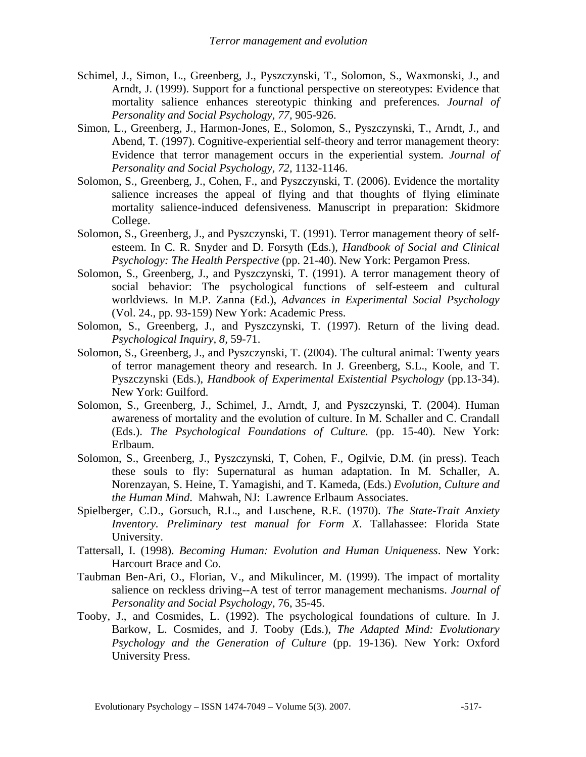- Schimel, J., Simon, L., Greenberg, J., Pyszczynski, T., Solomon, S., Waxmonski, J., and Arndt, J. (1999). Support for a functional perspective on stereotypes: Evidence that mortality salience enhances stereotypic thinking and preferences. *Journal of Personality and Social Psychology, 77,* 905-926.
- Simon, L., Greenberg, J., Harmon-Jones, E., Solomon, S., Pyszczynski, T., Arndt, J., and Abend, T. (1997). Cognitive-experiential self-theory and terror management theory: Evidence that terror management occurs in the experiential system. *Journal of Personality and Social Psychology, 72,* 1132-1146.
- Solomon, S., Greenberg, J., Cohen, F., and Pyszczynski, T. (2006). Evidence the mortality salience increases the appeal of flying and that thoughts of flying eliminate mortality salience-induced defensiveness. Manuscript in preparation: Skidmore College.
- Solomon, S., Greenberg, J., and Pyszczynski, T. (1991). Terror management theory of selfesteem. In C. R. Snyder and D. Forsyth (Eds.), *Handbook of Social and Clinical Psychology: The Health Perspective* (pp. 21-40). New York: Pergamon Press.
- Solomon, S., Greenberg, J., and Pyszczynski, T. (1991). A terror management theory of social behavior: The psychological functions of self-esteem and cultural worldviews. In M.P. Zanna (Ed.), *Advances in Experimental Social Psychology* (Vol. 24., pp. 93-159) New York: Academic Press.
- Solomon, S., Greenberg, J., and Pyszczynski, T. (1997). Return of the living dead. *Psychological Inquiry, 8,* 59-71.
- Solomon, S., Greenberg, J., and Pyszczynski, T. (2004). The cultural animal: Twenty years of terror management theory and research. In J. Greenberg, S.L., Koole, and T. Pyszczynski (Eds.), *Handbook of Experimental Existential Psychology* (pp.13-34). New York: Guilford.
- Solomon, S., Greenberg, J., Schimel, J., Arndt, J, and Pyszczynski, T. (2004). Human awareness of mortality and the evolution of culture. In M. Schaller and C. Crandall (Eds.). *The Psychological Foundations of Culture.* (pp. 15-40). New York: Erlbaum.
- Solomon, S., Greenberg, J., Pyszczynski, T, Cohen, F., Ogilvie, D.M. (in press). Teach these souls to fly: Supernatural as human adaptation. In M. Schaller, A. Norenzayan, S. Heine, T. Yamagishi, and T. Kameda, (Eds.) *Evolution, Culture and the Human Mind*. Mahwah, NJ: Lawrence Erlbaum Associates.
- Spielberger, C.D., Gorsuch, R.L., and Luschene, R.E. (1970). *The State-Trait Anxiety Inventory. Preliminary test manual for Form X*. Tallahassee: Florida State University.
- Tattersall, I. (1998). *Becoming Human: Evolution and Human Uniqueness*. New York: Harcourt Brace and Co.
- Taubman Ben-Ari, O., Florian, V., and Mikulincer, M. (1999). The impact of mortality salience on reckless driving--A test of terror management mechanisms. *Journal of Personality and Social Psychology,* 76, 35-45.
- Tooby, J., and Cosmides, L. (1992). The psychological foundations of culture. In J. Barkow, L. Cosmides, and J. Tooby (Eds.), *The Adapted Mind: Evolutionary Psychology and the Generation of Culture* (pp. 19-136). New York: Oxford University Press.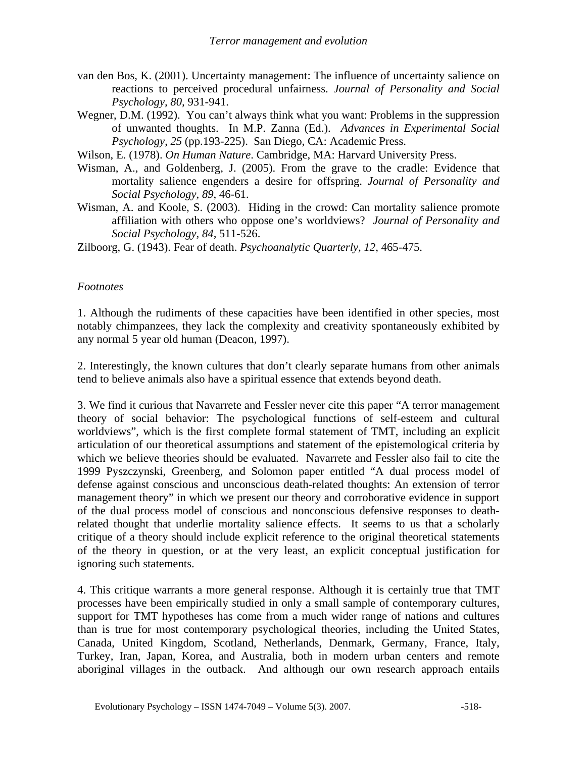- van den Bos, K. (2001). Uncertainty management: The influence of uncertainty salience on reactions to perceived procedural unfairness. *Journal of Personality and Social Psychology, 80,* 931-941.
- Wegner, D.M. (1992). You can't always think what you want: Problems in the suppression of unwanted thoughts. In M.P. Zanna (Ed.). *Advances in Experimental Social Psychology*, *25* (pp.193-225). San Diego, CA: Academic Press.

Wilson, E. (1978). *On Human Nature*. Cambridge, MA: Harvard University Press.

- Wisman, A., and Goldenberg, J. (2005). From the grave to the cradle: Evidence that mortality salience engenders a desire for offspring. *Journal of Personality and Social Psychology, 89*, 46-61.
- Wisman, A. and Koole, S. (2003). Hiding in the crowd: Can mortality salience promote affiliation with others who oppose one's worldviews? *Journal of Personality and Social Psychology, 84,* 511-526.

Zilboorg, G. (1943). Fear of death. *Psychoanalytic Quarterly, 12,* 465-475.

# *Footnotes*

1. Although the rudiments of these capacities have been identified in other species, most notably chimpanzees, they lack the complexity and creativity spontaneously exhibited by any normal 5 year old human (Deacon, 1997).

2. Interestingly, the known cultures that don't clearly separate humans from other animals tend to believe animals also have a spiritual essence that extends beyond death.

3. We find it curious that Navarrete and Fessler never cite this paper "A terror management theory of social behavior: The psychological functions of self-esteem and cultural worldviews", which is the first complete formal statement of TMT, including an explicit articulation of our theoretical assumptions and statement of the epistemological criteria by which we believe theories should be evaluated. Navarrete and Fessler also fail to cite the 1999 Pyszczynski, Greenberg, and Solomon paper entitled "A dual process model of defense against conscious and unconscious death-related thoughts: An extension of terror management theory" in which we present our theory and corroborative evidence in support of the dual process model of conscious and nonconscious defensive responses to deathrelated thought that underlie mortality salience effects. It seems to us that a scholarly critique of a theory should include explicit reference to the original theoretical statements of the theory in question, or at the very least, an explicit conceptual justification for ignoring such statements.

4. This critique warrants a more general response. Although it is certainly true that TMT processes have been empirically studied in only a small sample of contemporary cultures, support for TMT hypotheses has come from a much wider range of nations and cultures than is true for most contemporary psychological theories, including the United States, Canada, United Kingdom, Scotland, Netherlands, Denmark, Germany, France, Italy, Turkey, Iran, Japan, Korea, and Australia, both in modern urban centers and remote aboriginal villages in the outback. And although our own research approach entails